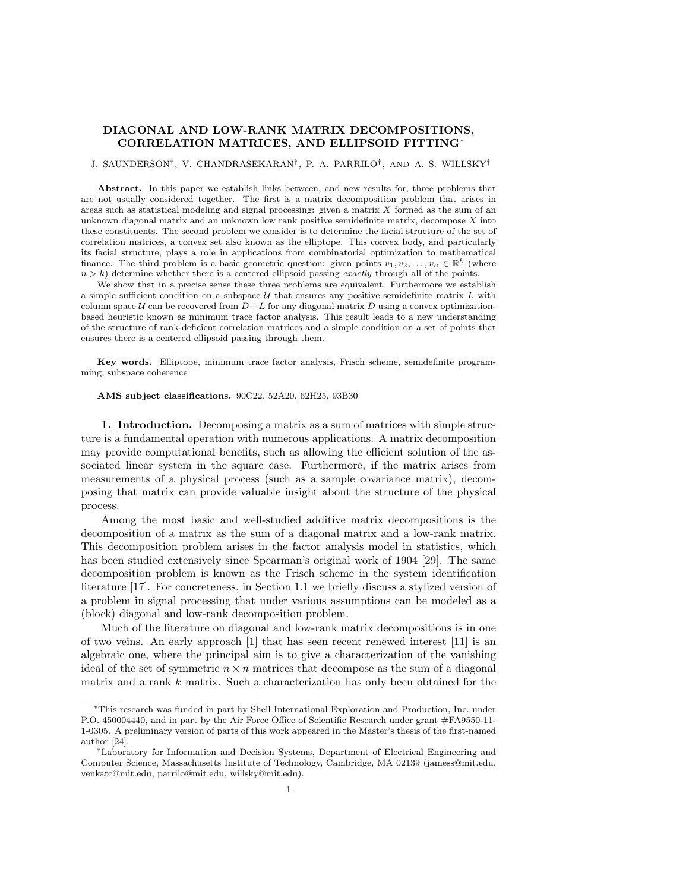# DIAGONAL AND LOW-RANK MATRIX DECOMPOSITIONS, CORRELATION MATRICES, AND ELLIPSOID FITTING∗

### J. SAUNDERSON† , V. CHANDRASEKARAN† , P. A. PARRILO† , AND A. S. WILLSKY†

Abstract. In this paper we establish links between, and new results for, three problems that are not usually considered together. The first is a matrix decomposition problem that arises in areas such as statistical modeling and signal processing: given a matrix  $X$  formed as the sum of an unknown diagonal matrix and an unknown low rank positive semidefinite matrix, decompose  $X$  into these constituents. The second problem we consider is to determine the facial structure of the set of correlation matrices, a convex set also known as the elliptope. This convex body, and particularly its facial structure, plays a role in applications from combinatorial optimization to mathematical finance. The third problem is a basic geometric question: given points  $v_1, v_2, \ldots, v_n \in \mathbb{R}^k$  (where  $n > k$ ) determine whether there is a centered ellipsoid passing exactly through all of the points.

We show that in a precise sense these three problems are equivalent. Furthermore we establish a simple sufficient condition on a subspace  $U$  that ensures any positive semidefinite matrix  $L$  with column space U can be recovered from  $D + L$  for any diagonal matrix D using a convex optimizationbased heuristic known as minimum trace factor analysis. This result leads to a new understanding of the structure of rank-deficient correlation matrices and a simple condition on a set of points that ensures there is a centered ellipsoid passing through them.

Key words. Elliptope, minimum trace factor analysis, Frisch scheme, semidefinite programming, subspace coherence

### AMS subject classifications. 90C22, 52A20, 62H25, 93B30

1. Introduction. Decomposing a matrix as a sum of matrices with simple structure is a fundamental operation with numerous applications. A matrix decomposition may provide computational benefits, such as allowing the efficient solution of the associated linear system in the square case. Furthermore, if the matrix arises from measurements of a physical process (such as a sample covariance matrix), decomposing that matrix can provide valuable insight about the structure of the physical process.

Among the most basic and well-studied additive matrix decompositions is the decomposition of a matrix as the sum of a diagonal matrix and a low-rank matrix. This decomposition problem arises in the factor analysis model in statistics, which has been studied extensively since Spearman's original work of 1904 [29]. The same decomposition problem is known as the Frisch scheme in the system identification literature [17]. For concreteness, in Section 1.1 we briefly discuss a stylized version of a problem in signal processing that under various assumptions can be modeled as a (block) diagonal and low-rank decomposition problem.

Much of the literature on diagonal and low-rank matrix decompositions is in one of two veins. An early approach [1] that has seen recent renewed interest [11] is an algebraic one, where the principal aim is to give a characterization of the vanishing ideal of the set of symmetric  $n \times n$  matrices that decompose as the sum of a diagonal matrix and a rank k matrix. Such a characterization has only been obtained for the

<sup>∗</sup>This research was funded in part by Shell International Exploration and Production, Inc. under P.O. 450004440, and in part by the Air Force Office of Scientific Research under grant #FA9550-11- 1-0305. A preliminary version of parts of this work appeared in the Master's thesis of the first-named author [24].

<sup>†</sup>Laboratory for Information and Decision Systems, Department of Electrical Engineering and Computer Science, Massachusetts Institute of Technology, Cambridge, MA 02139 (jamess@mit.edu, venkatc@mit.edu, parrilo@mit.edu, willsky@mit.edu).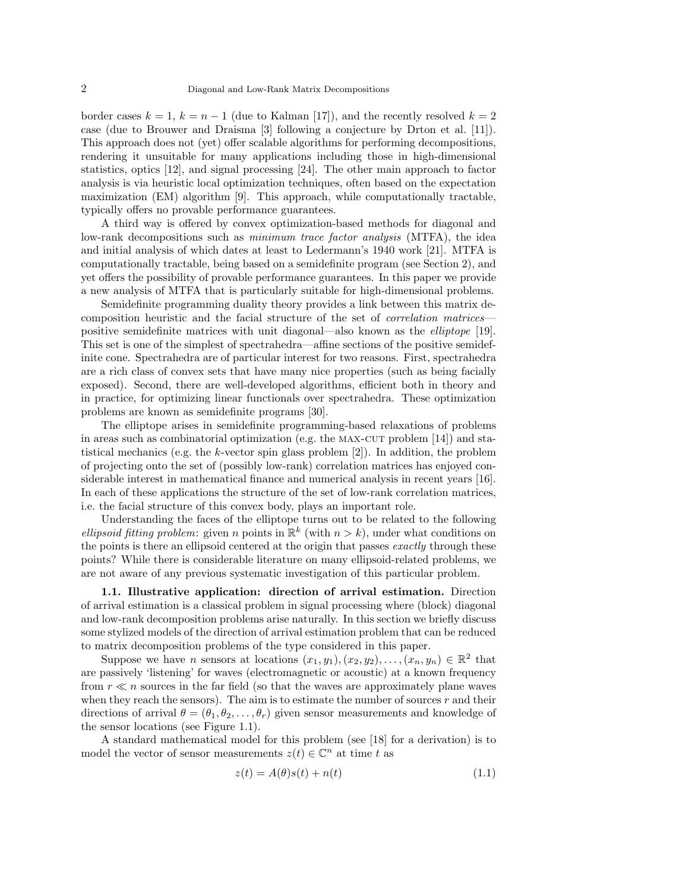border cases  $k = 1$ ,  $k = n - 1$  (due to Kalman [17]), and the recently resolved  $k = 2$ case (due to Brouwer and Draisma [3] following a conjecture by Drton et al. [11]). This approach does not (yet) offer scalable algorithms for performing decompositions, rendering it unsuitable for many applications including those in high-dimensional statistics, optics [12], and signal processing [24]. The other main approach to factor analysis is via heuristic local optimization techniques, often based on the expectation maximization (EM) algorithm [9]. This approach, while computationally tractable, typically offers no provable performance guarantees.

A third way is offered by convex optimization-based methods for diagonal and low-rank decompositions such as minimum trace factor analysis (MTFA), the idea and initial analysis of which dates at least to Ledermann's 1940 work [21]. MTFA is computationally tractable, being based on a semidefinite program (see Section 2), and yet offers the possibility of provable performance guarantees. In this paper we provide a new analysis of MTFA that is particularly suitable for high-dimensional problems.

Semidefinite programming duality theory provides a link between this matrix decomposition heuristic and the facial structure of the set of correlation matrices positive semidefinite matrices with unit diagonal—also known as the elliptope [19]. This set is one of the simplest of spectrahedra—affine sections of the positive semidefinite cone. Spectrahedra are of particular interest for two reasons. First, spectrahedra are a rich class of convex sets that have many nice properties (such as being facially exposed). Second, there are well-developed algorithms, efficient both in theory and in practice, for optimizing linear functionals over spectrahedra. These optimization problems are known as semidefinite programs [30].

The elliptope arises in semidefinite programming-based relaxations of problems in areas such as combinatorial optimization (e.g. the MAX-CUT problem  $[14]$ ) and statistical mechanics (e.g. the  $k$ -vector spin glass problem  $[2]$ ). In addition, the problem of projecting onto the set of (possibly low-rank) correlation matrices has enjoyed considerable interest in mathematical finance and numerical analysis in recent years [16]. In each of these applications the structure of the set of low-rank correlation matrices, i.e. the facial structure of this convex body, plays an important role.

Understanding the faces of the elliptope turns out to be related to the following ellipsoid fitting problem: given n points in  $\mathbb{R}^k$  (with  $n > k$ ), under what conditions on the points is there an ellipsoid centered at the origin that passes exactly through these points? While there is considerable literature on many ellipsoid-related problems, we are not aware of any previous systematic investigation of this particular problem.

1.1. Illustrative application: direction of arrival estimation. Direction of arrival estimation is a classical problem in signal processing where (block) diagonal and low-rank decomposition problems arise naturally. In this section we briefly discuss some stylized models of the direction of arrival estimation problem that can be reduced to matrix decomposition problems of the type considered in this paper.

Suppose we have *n* sensors at locations  $(x_1, y_1), (x_2, y_2), \ldots, (x_n, y_n) \in \mathbb{R}^2$  that are passively 'listening' for waves (electromagnetic or acoustic) at a known frequency from  $r \ll n$  sources in the far field (so that the waves are approximately plane waves when they reach the sensors). The aim is to estimate the number of sources  $r$  and their directions of arrival  $\theta = (\theta_1, \theta_2, \dots, \theta_r)$  given sensor measurements and knowledge of the sensor locations (see Figure 1.1).

A standard mathematical model for this problem (see [18] for a derivation) is to model the vector of sensor measurements  $z(t) \in \mathbb{C}^n$  at time t as

$$
z(t) = A(\theta)s(t) + n(t)
$$
\n(1.1)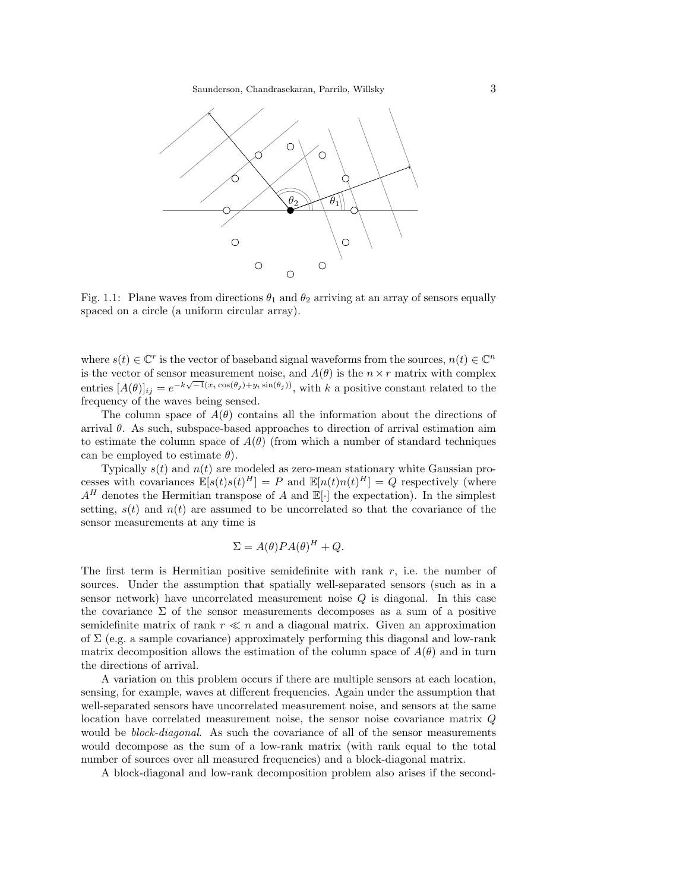

Fig. 1.1: Plane waves from directions  $\theta_1$  and  $\theta_2$  arriving at an array of sensors equally spaced on a circle (a uniform circular array).

where  $s(t) \in \mathbb{C}^r$  is the vector of baseband signal waveforms from the sources,  $n(t) \in \mathbb{C}^n$ is the vector of sensor measurement noise, and  $A(\theta)$  is the  $n \times r$  matrix with complex entries  $[A(\theta)]_{ij} = e^{-k\sqrt{-1}(x_i \cos(\theta_j) + y_i \sin(\theta_j))}$ , with k a positive constant related to the frequency of the waves being sensed.

The column space of  $A(\theta)$  contains all the information about the directions of arrival  $\theta$ . As such, subspace-based approaches to direction of arrival estimation aim to estimate the column space of  $A(\theta)$  (from which a number of standard techniques can be employed to estimate  $\theta$ ).

Typically  $s(t)$  and  $n(t)$  are modeled as zero-mean stationary white Gaussian processes with covariances  $\mathbb{E}[s(t)s(t)^{H}] = P$  and  $\mathbb{E}[n(t)n(t)^{H}] = Q$  respectively (where  $A<sup>H</sup>$  denotes the Hermitian transpose of A and  $\mathbb{E}[\cdot]$  the expectation). In the simplest setting,  $s(t)$  and  $n(t)$  are assumed to be uncorrelated so that the covariance of the sensor measurements at any time is

$$
\Sigma = A(\theta) P A(\theta)^H + Q.
$$

The first term is Hermitian positive semidefinite with rank  $r$ , i.e. the number of sources. Under the assumption that spatially well-separated sensors (such as in a sensor network) have uncorrelated measurement noise Q is diagonal. In this case the covariance  $\Sigma$  of the sensor measurements decomposes as a sum of a positive semidefinite matrix of rank  $r \ll n$  and a diagonal matrix. Given an approximation of  $\Sigma$  (e.g. a sample covariance) approximately performing this diagonal and low-rank matrix decomposition allows the estimation of the column space of  $A(\theta)$  and in turn the directions of arrival.

A variation on this problem occurs if there are multiple sensors at each location, sensing, for example, waves at different frequencies. Again under the assumption that well-separated sensors have uncorrelated measurement noise, and sensors at the same location have correlated measurement noise, the sensor noise covariance matrix Q would be *block-diagonal*. As such the covariance of all of the sensor measurements would decompose as the sum of a low-rank matrix (with rank equal to the total number of sources over all measured frequencies) and a block-diagonal matrix.

A block-diagonal and low-rank decomposition problem also arises if the second-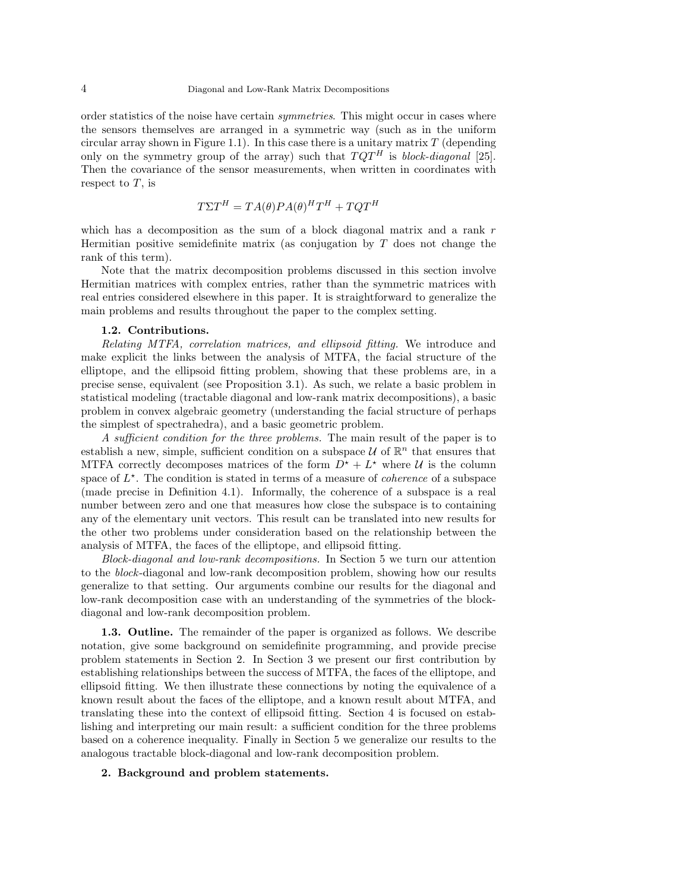order statistics of the noise have certain symmetries. This might occur in cases where the sensors themselves are arranged in a symmetric way (such as in the uniform circular array shown in Figure 1.1). In this case there is a unitary matrix  $T$  (depending only on the symmetry group of the array) such that  $TQT<sup>H</sup>$  is block-diagonal [25]. Then the covariance of the sensor measurements, when written in coordinates with respect to  $T$ , is

$$
T\Sigma T^H = TA(\theta)PA(\theta)^H T^H + TQT^H
$$

which has a decomposition as the sum of a block diagonal matrix and a rank r Hermitian positive semidefinite matrix (as conjugation by  $T$  does not change the rank of this term).

Note that the matrix decomposition problems discussed in this section involve Hermitian matrices with complex entries, rather than the symmetric matrices with real entries considered elsewhere in this paper. It is straightforward to generalize the main problems and results throughout the paper to the complex setting.

### 1.2. Contributions.

Relating MTFA, correlation matrices, and ellipsoid fitting. We introduce and make explicit the links between the analysis of MTFA, the facial structure of the elliptope, and the ellipsoid fitting problem, showing that these problems are, in a precise sense, equivalent (see Proposition 3.1). As such, we relate a basic problem in statistical modeling (tractable diagonal and low-rank matrix decompositions), a basic problem in convex algebraic geometry (understanding the facial structure of perhaps the simplest of spectrahedra), and a basic geometric problem.

A sufficient condition for the three problems. The main result of the paper is to establish a new, simple, sufficient condition on a subspace  $\mathcal U$  of  $\mathbb R^n$  that ensures that MTFA correctly decomposes matrices of the form  $D^* + L^*$  where  $\mathcal{U}$  is the column space of  $L^*$ . The condition is stated in terms of a measure of *coherence* of a subspace (made precise in Definition 4.1). Informally, the coherence of a subspace is a real number between zero and one that measures how close the subspace is to containing any of the elementary unit vectors. This result can be translated into new results for the other two problems under consideration based on the relationship between the analysis of MTFA, the faces of the elliptope, and ellipsoid fitting.

Block-diagonal and low-rank decompositions. In Section 5 we turn our attention to the block-diagonal and low-rank decomposition problem, showing how our results generalize to that setting. Our arguments combine our results for the diagonal and low-rank decomposition case with an understanding of the symmetries of the blockdiagonal and low-rank decomposition problem.

1.3. Outline. The remainder of the paper is organized as follows. We describe notation, give some background on semidefinite programming, and provide precise problem statements in Section 2. In Section 3 we present our first contribution by establishing relationships between the success of MTFA, the faces of the elliptope, and ellipsoid fitting. We then illustrate these connections by noting the equivalence of a known result about the faces of the elliptope, and a known result about MTFA, and translating these into the context of ellipsoid fitting. Section 4 is focused on establishing and interpreting our main result: a sufficient condition for the three problems based on a coherence inequality. Finally in Section 5 we generalize our results to the analogous tractable block-diagonal and low-rank decomposition problem.

## 2. Background and problem statements.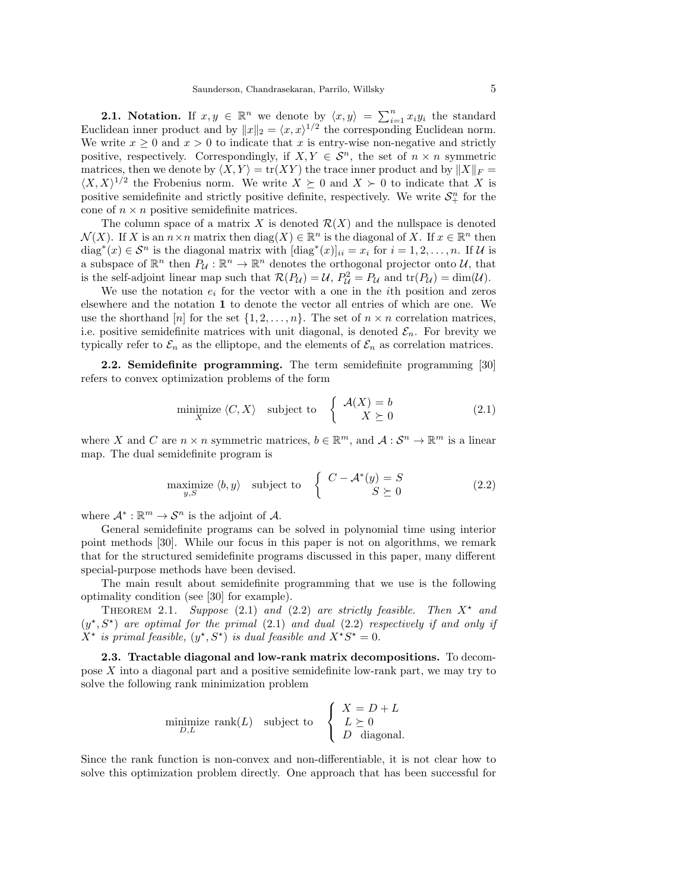**2.1.** Notation. If  $x, y \in \mathbb{R}^n$  we denote by  $\langle x, y \rangle = \sum_{i=1}^n x_i y_i$  the standard Euclidean inner product and by  $||x||_2 = \langle x, x \rangle^{1/2}$  the corresponding Euclidean norm. We write  $x \geq 0$  and  $x > 0$  to indicate that x is entry-wise non-negative and strictly positive, respectively. Correspondingly, if  $X, Y \in \mathcal{S}^n$ , the set of  $n \times n$  symmetric matrices, then we denote by  $\langle X, Y \rangle = \text{tr}(XY)$  the trace inner product and by  $||X||_F =$  $\langle X, X \rangle^{1/2}$  the Frobenius norm. We write  $X \succeq 0$  and  $X \succ 0$  to indicate that X is positive semidefinite and strictly positive definite, respectively. We write  $S_{+}^{n}$  for the cone of  $n \times n$  positive semidefinite matrices.

The column space of a matrix X is denoted  $\mathcal{R}(X)$  and the nullspace is denoted  $\mathcal{N}(X)$ . If X is an  $n \times n$  matrix then  $\text{diag}(X) \in \mathbb{R}^n$  is the diagonal of X. If  $x \in \mathbb{R}^n$  then diag<sup>\*</sup> $(x) \in S^n$  is the diagonal matrix with  $[\text{diag}^*(x)]_{ii} = x_i$  for  $i = 1, 2, ..., n$ . If U is a subspace of  $\mathbb{R}^n$  then  $P_{\mathcal{U}} : \mathbb{R}^n \to \mathbb{R}^n$  denotes the orthogonal projector onto  $\mathcal{U}$ , that is the self-adjoint linear map such that  $\mathcal{R}(P_{\mathcal{U}}) = \mathcal{U}$ ,  $P_{\mathcal{U}}^2 = P_{\mathcal{U}}$  and  $tr(P_{\mathcal{U}}) = dim(\mathcal{U})$ .

We use the notation  $e_i$  for the vector with a one in the *i*th position and zeros elsewhere and the notation 1 to denote the vector all entries of which are one. We use the shorthand [n] for the set  $\{1, 2, \ldots, n\}$ . The set of  $n \times n$  correlation matrices, i.e. positive semidefinite matrices with unit diagonal, is denoted  $\mathcal{E}_n$ . For brevity we typically refer to  $\mathcal{E}_n$  as the elliptope, and the elements of  $\mathcal{E}_n$  as correlation matrices.

2.2. Semidefinite programming. The term semidefinite programming [30] refers to convex optimization problems of the form

$$
\underset{X}{\text{minimize}} \langle C, X \rangle \quad \text{subject to} \quad \left\{ \begin{array}{c} \mathcal{A}(X) = b \\ X \succeq 0 \end{array} \right. \tag{2.1}
$$

where X and C are  $n \times n$  symmetric matrices,  $b \in \mathbb{R}^m$ , and  $\mathcal{A}: \mathcal{S}^n \to \mathbb{R}^m$  is a linear map. The dual semidefinite program is

$$
\underset{y,S}{\text{maximize}} \langle b, y \rangle \quad \text{subject to} \quad \left\{ \begin{array}{l} C - \mathcal{A}^*(y) = S \\ S \succeq 0 \end{array} \right. \tag{2.2}
$$

where  $\mathcal{A}^* : \mathbb{R}^m \to \mathcal{S}^n$  is the adjoint of  $\mathcal{A}$ .

General semidefinite programs can be solved in polynomial time using interior point methods [30]. While our focus in this paper is not on algorithms, we remark that for the structured semidefinite programs discussed in this paper, many different special-purpose methods have been devised.

The main result about semidefinite programming that we use is the following optimality condition (see [30] for example).

THEOREM 2.1. Suppose (2.1) and (2.2) are strictly feasible. Then  $X^*$  and  $(y^*, S^*)$  are optimal for the primal (2.1) and dual (2.2) respectively if and only if  $X^*$  is primal feasible,  $(y^*, S^*)$  is dual feasible and  $X^*S^* = 0$ .

2.3. Tractable diagonal and low-rank matrix decompositions. To decompose X into a diagonal part and a positive semidefinite low-rank part, we may try to solve the following rank minimization problem

$$
\underset{D,L}{\text{minimize}} \ \text{rank}(L) \quad \text{subject to} \quad \left\{ \begin{array}{l} X = D + L \\ L \geq 0 \\ D \quad \text{diagonal.} \end{array} \right.
$$

Since the rank function is non-convex and non-differentiable, it is not clear how to solve this optimization problem directly. One approach that has been successful for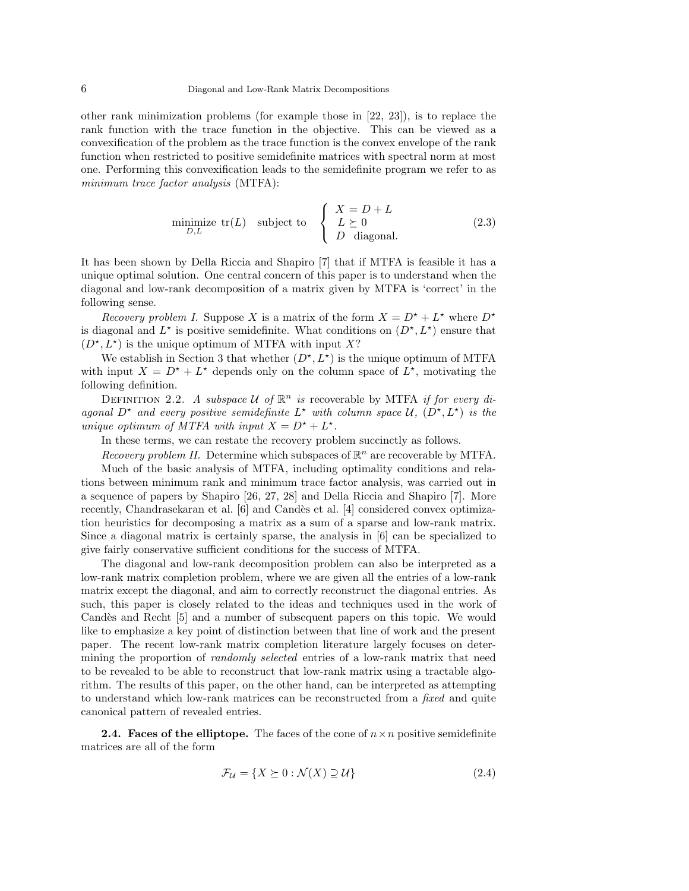other rank minimization problems (for example those in [22, 23]), is to replace the rank function with the trace function in the objective. This can be viewed as a convexification of the problem as the trace function is the convex envelope of the rank function when restricted to positive semidefinite matrices with spectral norm at most one. Performing this convexification leads to the semidefinite program we refer to as minimum trace factor analysis (MTFA):

$$
\underset{D,L}{\text{minimize }} \text{tr}(L) \quad \text{subject to} \quad\n\begin{cases}\nX = D + L \\
L \geq 0 \\
D \quad \text{diagonal.}\n\end{cases}\n\tag{2.3}
$$

It has been shown by Della Riccia and Shapiro [7] that if MTFA is feasible it has a unique optimal solution. One central concern of this paper is to understand when the diagonal and low-rank decomposition of a matrix given by MTFA is 'correct' in the following sense.

Recovery problem I. Suppose X is a matrix of the form  $X = D^* + L^*$  where  $D^*$ is diagonal and  $L^*$  is positive semidefinite. What conditions on  $(D^*, L^*)$  ensure that  $(D^{\star}, L^{\star})$  is the unique optimum of MTFA with input X?

We establish in Section 3 that whether  $(D^*, L^*)$  is the unique optimum of MTFA with input  $X = D^* + L^*$  depends only on the column space of  $L^*$ , motivating the following definition.

DEFINITION 2.2. A subspace  $U$  of  $\mathbb{R}^n$  is recoverable by MTFA if for every diagonal  $D^*$  and every positive semidefinite  $L^*$  with column space  $\mathcal{U}, (D^*, L^*)$  is the unique optimum of MTFA with input  $X = D^* + L^*$ .

In these terms, we can restate the recovery problem succinctly as follows.

Recovery problem II. Determine which subspaces of  $\mathbb{R}^n$  are recoverable by MTFA.

Much of the basic analysis of MTFA, including optimality conditions and relations between minimum rank and minimum trace factor analysis, was carried out in a sequence of papers by Shapiro [26, 27, 28] and Della Riccia and Shapiro [7]. More recently, Chandrasekaran et al. [6] and Candès et al. [4] considered convex optimization heuristics for decomposing a matrix as a sum of a sparse and low-rank matrix. Since a diagonal matrix is certainly sparse, the analysis in [6] can be specialized to give fairly conservative sufficient conditions for the success of MTFA.

The diagonal and low-rank decomposition problem can also be interpreted as a low-rank matrix completion problem, where we are given all the entries of a low-rank matrix except the diagonal, and aim to correctly reconstruct the diagonal entries. As such, this paper is closely related to the ideas and techniques used in the work of Candès and Recht [5] and a number of subsequent papers on this topic. We would like to emphasize a key point of distinction between that line of work and the present paper. The recent low-rank matrix completion literature largely focuses on determining the proportion of *randomly selected* entries of a low-rank matrix that need to be revealed to be able to reconstruct that low-rank matrix using a tractable algorithm. The results of this paper, on the other hand, can be interpreted as attempting to understand which low-rank matrices can be reconstructed from a *fixed* and quite canonical pattern of revealed entries.

**2.4. Faces of the elliptope.** The faces of the cone of  $n \times n$  positive semidefinite matrices are all of the form

$$
\mathcal{F}_{\mathcal{U}} = \{ X \succeq 0 : \mathcal{N}(X) \supseteq \mathcal{U} \} \tag{2.4}
$$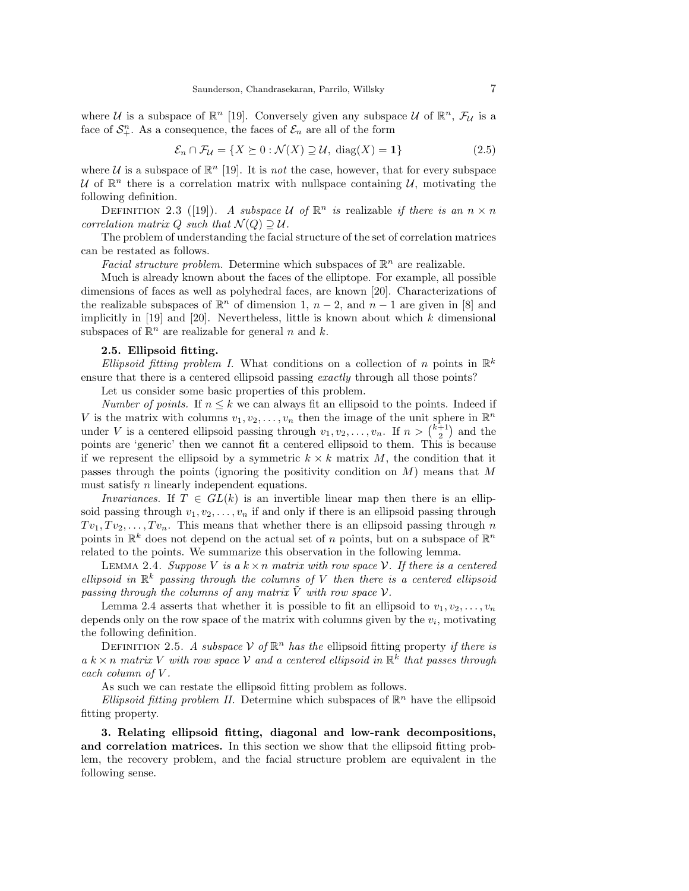where U is a subspace of  $\mathbb{R}^n$  [19]. Conversely given any subspace U of  $\mathbb{R}^n$ ,  $\mathcal{F}_U$  is a face of  $\mathcal{S}_+^n$ . As a consequence, the faces of  $\mathcal{E}_n$  are all of the form

$$
\mathcal{E}_n \cap \mathcal{F}_\mathcal{U} = \{ X \succeq 0 : \mathcal{N}(X) \supseteq \mathcal{U}, \text{ diag}(X) = 1 \}
$$
\n<sup>(2.5)</sup>

where  $U$  is a subspace of  $\mathbb{R}^n$  [19]. It is *not* the case, however, that for every subspace U of  $\mathbb{R}^n$  there is a correlation matrix with nullspace containing U, motivating the following definition.

DEFINITION 2.3 ([19]). A subspace U of  $\mathbb{R}^n$  is realizable if there is an  $n \times n$ correlation matrix Q such that  $\mathcal{N}(Q) \supset \mathcal{U}$ .

The problem of understanding the facial structure of the set of correlation matrices can be restated as follows.

Facial structure problem. Determine which subspaces of  $\mathbb{R}^n$  are realizable.

Much is already known about the faces of the elliptope. For example, all possible dimensions of faces as well as polyhedral faces, are known [20]. Characterizations of the realizable subspaces of  $\mathbb{R}^n$  of dimension 1,  $n-2$ , and  $n-1$  are given in [8] and implicitly in  $[19]$  and  $[20]$ . Nevertheless, little is known about which k dimensional subspaces of  $\mathbb{R}^n$  are realizable for general n and k.

## 2.5. Ellipsoid fitting.

Ellipsoid fitting problem I. What conditions on a collection of n points in  $\mathbb{R}^k$ ensure that there is a centered ellipsoid passing exactly through all those points?

Let us consider some basic properties of this problem.

Number of points. If  $n \leq k$  we can always fit an ellipsoid to the points. Indeed if V is the matrix with columns  $v_1, v_2, \ldots, v_n$  then the image of the unit sphere in  $\mathbb{R}^n$ under V is a centered ellipsoid passing through  $v_1, v_2, \ldots, v_n$ . If  $n > \binom{k+1}{2}$  and the points are 'generic' then we cannot fit a centered ellipsoid to them. This is because if we represent the ellipsoid by a symmetric  $k \times k$  matrix M, the condition that it passes through the points (ignoring the positivity condition on  $M$ ) means that M must satisfy *n* linearly independent equations.

Invariances. If  $T \in GL(k)$  is an invertible linear map then there is an ellipsoid passing through  $v_1, v_2, \ldots, v_n$  if and only if there is an ellipsoid passing through  $Tv_1, Tv_2, \ldots, Tv_n$ . This means that whether there is an ellipsoid passing through n points in  $\mathbb{R}^k$  does not depend on the actual set of n points, but on a subspace of  $\mathbb{R}^n$ related to the points. We summarize this observation in the following lemma.

LEMMA 2.4. Suppose V is a  $k \times n$  matrix with row space V. If there is a centered ellipsoid in  $\mathbb{R}^k$  passing through the columns of V then there is a centered ellipsoid passing through the columns of any matrix  $\tilde{V}$  with row space  $V$ .

Lemma 2.4 asserts that whether it is possible to fit an ellipsoid to  $v_1, v_2, \ldots, v_n$ depends only on the row space of the matrix with columns given by the  $v_i$ , motivating the following definition.

DEFINITION 2.5. A subspace  $V$  of  $\mathbb{R}^n$  has the ellipsoid fitting property if there is  $a k \times n$  matrix V with row space V and a centered ellipsoid in  $\mathbb{R}^k$  that passes through each column of V .

As such we can restate the ellipsoid fitting problem as follows.

Ellipsoid fitting problem II. Determine which subspaces of  $\mathbb{R}^n$  have the ellipsoid fitting property.

3. Relating ellipsoid fitting, diagonal and low-rank decompositions, and correlation matrices. In this section we show that the ellipsoid fitting problem, the recovery problem, and the facial structure problem are equivalent in the following sense.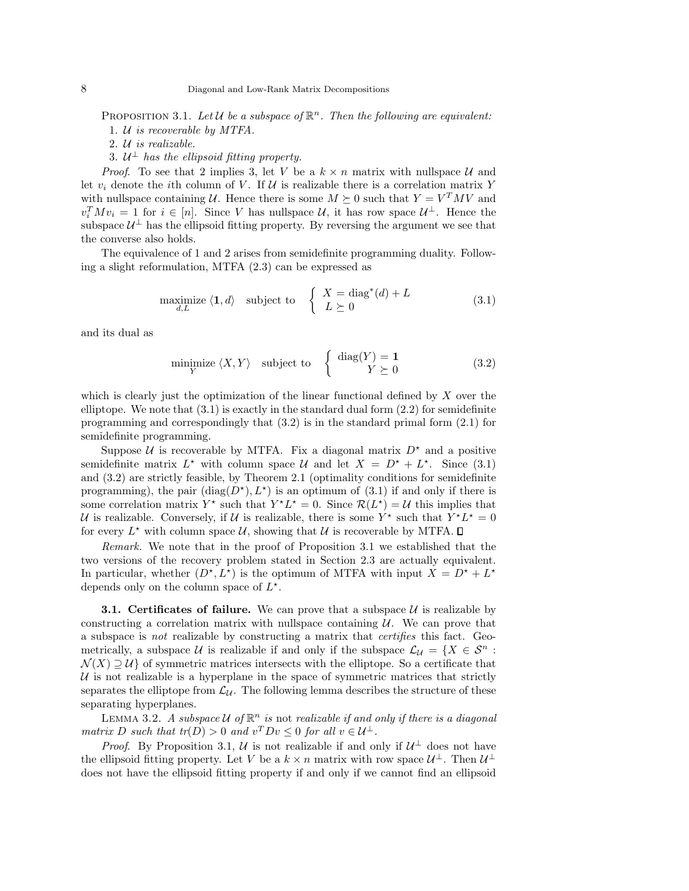PROPOSITION 3.1. Let  $\mathcal U$  be a subspace of  $\mathbb R^n$ . Then the following are equivalent:

1. U is recoverable by MTFA.

2. U is realizable.

3.  $\mathcal{U}^{\perp}$  has the ellipsoid fitting property.

*Proof.* To see that 2 implies 3, let V be a  $k \times n$  matrix with nullspace U and let  $v_i$  denote the *i*th column of V. If U is realizable there is a correlation matrix Y with nullspace containing U. Hence there is some  $M \succeq 0$  such that  $Y = V^T M V$  and  $v_i^T M v_i = 1$  for  $i \in [n]$ . Since V has nullspace U, it has row space  $\mathcal{U}^{\perp}$ . Hence the subspace  $\mathcal{U}^{\perp}$  has the ellipsoid fitting property. By reversing the argument we see that the converse also holds.

The equivalence of 1 and 2 arises from semidefinite programming duality. Following a slight reformulation, MTFA (2.3) can be expressed as

$$
\underset{d,L}{\text{maximize}} \ \langle \mathbf{1}, d \rangle \quad \text{subject to} \quad \left\{ \begin{array}{l} X = \text{diag}^*(d) + L \\ L \succeq 0 \end{array} \right. \tag{3.1}
$$

and its dual as

$$
\underset{Y}{\text{minimize}} \ \langle X, Y \rangle \quad \text{subject to} \quad \left\{ \begin{array}{c} \text{diag}(Y) = \mathbf{1} \\ Y \succeq 0 \end{array} \right. \tag{3.2}
$$

which is clearly just the optimization of the linear functional defined by  $X$  over the elliptope. We note that  $(3.1)$  is exactly in the standard dual form  $(2.2)$  for semidefinite programming and correspondingly that  $(3.2)$  is in the standard primal form  $(2.1)$  for semidefinite programming.

Suppose  $U$  is recoverable by MTFA. Fix a diagonal matrix  $D^*$  and a positive semidefinite matrix  $L^*$  with column space U and let  $X = D^* + L^*$ . Since (3.1) and (3.2) are strictly feasible, by Theorem 2.1 (optimality conditions for semidefinite programming), the pair  $(\text{diag}(D^*), L^*)$  is an optimum of  $(3.1)$  if and only if there is some correlation matrix  $Y^*$  such that  $Y^*L^* = 0$ . Since  $\mathcal{R}(L^*) = \mathcal{U}$  this implies that U is realizable. Conversely, if U is realizable, there is some  $Y^*$  such that  $Y^*L^* = 0$ for every  $L^*$  with column space  $\mathcal{U}$ , showing that  $\mathcal{U}$  is recoverable by MTFA.

Remark. We note that in the proof of Proposition 3.1 we established that the two versions of the recovery problem stated in Section 2.3 are actually equivalent. In particular, whether  $(D^*, L^*)$  is the optimum of MTFA with input  $X = D^* + L^*$ depends only on the column space of  $L^*$ .

**3.1. Certificates of failure.** We can prove that a subspace  $U$  is realizable by constructing a correlation matrix with nullspace containing  $U$ . We can prove that a subspace is not realizable by constructing a matrix that certifies this fact. Geometrically, a subspace U is realizable if and only if the subspace  $\mathcal{L}_U = \{X \in \mathcal{S}^n :$  $\mathcal{N}(X) \supseteq \mathcal{U}$  of symmetric matrices intersects with the elliptope. So a certificate that  $U$  is not realizable is a hyperplane in the space of symmetric matrices that strictly separates the elliptope from  $\mathcal{L}_{\mathcal{U}}$ . The following lemma describes the structure of these separating hyperplanes.

LEMMA 3.2. A subspace U of  $\mathbb{R}^n$  is not realizable if and only if there is a diagonal matrix D such that  $tr(D) > 0$  and  $v^T D v \le 0$  for all  $v \in \mathcal{U}^{\perp}$ .

*Proof.* By Proposition 3.1, U is not realizable if and only if  $U^{\perp}$  does not have the ellipsoid fitting property. Let V be a  $k \times n$  matrix with row space  $\mathcal{U}^{\perp}$ . Then  $\mathcal{U}^{\perp}$ does not have the ellipsoid fitting property if and only if we cannot find an ellipsoid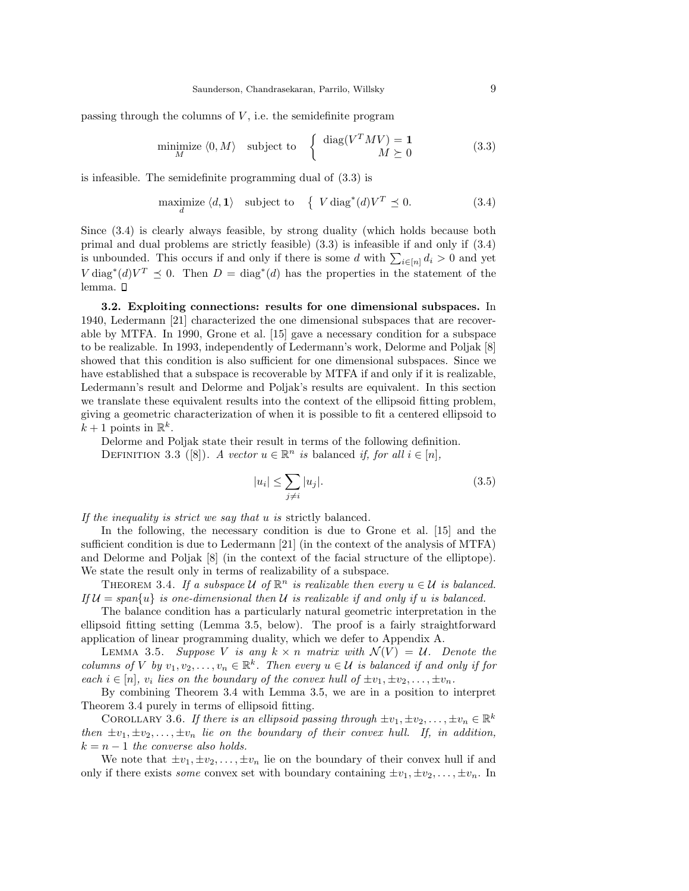passing through the columns of  $V$ , i.e. the semidefinite program

$$
\underset{M}{\text{minimize}} \langle 0, M \rangle \quad \text{subject to} \quad \left\{ \begin{array}{c} \text{diag}(V^T M V) = 1\\ M \succeq 0 \end{array} \right. \tag{3.3}
$$

is infeasible. The semidefinite programming dual of (3.3) is

$$
\underset{d}{\text{maximize}} \ \langle d, \mathbf{1} \rangle \quad \text{subject to} \quad \left\{ \ V \operatorname{diag}^*(d) V^T \preceq 0. \right. \tag{3.4}
$$

Since (3.4) is clearly always feasible, by strong duality (which holds because both primal and dual problems are strictly feasible) (3.3) is infeasible if and only if (3.4) is unbounded. This occurs if and only if there is some d with  $\sum_{i\in[n]}d_i>0$  and yet  $V \operatorname{diag}^*(d) V^T \preceq 0$ . Then  $D = \operatorname{diag}^*(d)$  has the properties in the statement of the lemma.  $\square$ 

3.2. Exploiting connections: results for one dimensional subspaces. In 1940, Ledermann [21] characterized the one dimensional subspaces that are recoverable by MTFA. In 1990, Grone et al. [15] gave a necessary condition for a subspace to be realizable. In 1993, independently of Ledermann's work, Delorme and Poljak [8] showed that this condition is also sufficient for one dimensional subspaces. Since we have established that a subspace is recoverable by MTFA if and only if it is realizable, Ledermann's result and Delorme and Poljak's results are equivalent. In this section we translate these equivalent results into the context of the ellipsoid fitting problem, giving a geometric characterization of when it is possible to fit a centered ellipsoid to  $k+1$  points in  $\mathbb{R}^k$ .

Delorme and Poljak state their result in terms of the following definition. DEFINITION 3.3 ([8]). A vector  $u \in \mathbb{R}^n$  is balanced if, for all  $i \in [n]$ ,

$$
|u_i| \le \sum_{j \neq i} |u_j|.\tag{3.5}
$$

If the inequality is strict we say that u is strictly balanced.

In the following, the necessary condition is due to Grone et al. [15] and the sufficient condition is due to Ledermann [21] (in the context of the analysis of MTFA) and Delorme and Poljak [8] (in the context of the facial structure of the elliptope). We state the result only in terms of realizability of a subspace.

THEOREM 3.4. If a subspace U of  $\mathbb{R}^n$  is realizable then every  $u \in U$  is balanced. If  $\mathcal{U} = span\{u\}$  is one-dimensional then U is realizable if and only if u is balanced.

The balance condition has a particularly natural geometric interpretation in the ellipsoid fitting setting (Lemma 3.5, below). The proof is a fairly straightforward application of linear programming duality, which we defer to Appendix A.

LEMMA 3.5. Suppose V is any  $k \times n$  matrix with  $\mathcal{N}(V) = \mathcal{U}$ . Denote the columns of V by  $v_1, v_2, \ldots, v_n \in \mathbb{R}^k$ . Then every  $u \in \mathcal{U}$  is balanced if and only if for each  $i \in [n]$ ,  $v_i$  lies on the boundary of the convex hull of  $\pm v_1, \pm v_2, \ldots, \pm v_n$ .

By combining Theorem 3.4 with Lemma 3.5, we are in a position to interpret Theorem 3.4 purely in terms of ellipsoid fitting.

COROLLARY 3.6. If there is an ellipsoid passing through  $\pm v_1, \pm v_2, \ldots, \pm v_n \in \mathbb{R}^k$ then  $\pm v_1, \pm v_2, \ldots, \pm v_n$  lie on the boundary of their convex hull. If, in addition,  $k = n - 1$  the converse also holds.

We note that  $\pm v_1, \pm v_2, \ldots, \pm v_n$  lie on the boundary of their convex hull if and only if there exists *some* convex set with boundary containing  $\pm v_1, \pm v_2, \ldots, \pm v_n$ . In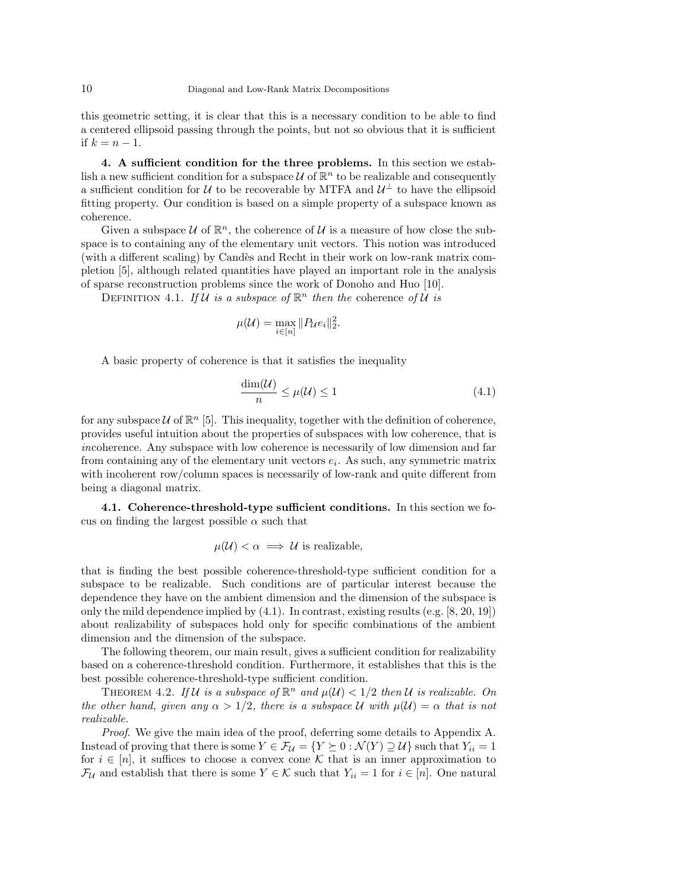this geometric setting, it is clear that this is a necessary condition to be able to find a centered ellipsoid passing through the points, but not so obvious that it is sufficient if  $k = n - 1$ .

4. A sufficient condition for the three problems. In this section we establish a new sufficient condition for a subspace  $\mathcal U$  of  $\mathbb R^n$  to be realizable and consequently a sufficient condition for U to be recoverable by MTFA and  $\mathcal{U}^{\perp}$  to have the ellipsoid fitting property. Our condition is based on a simple property of a subspace known as coherence.

Given a subspace  $U$  of  $\mathbb{R}^n$ , the coherence of U is a measure of how close the subspace is to containing any of the elementary unit vectors. This notion was introduced (with a different scaling) by Candès and Recht in their work on low-rank matrix completion [5], although related quantities have played an important role in the analysis of sparse reconstruction problems since the work of Donoho and Huo [10].

DEFINITION 4.1. If  $\mathcal U$  is a subspace of  $\mathbb R^n$  then the coherence of  $\mathcal U$  is

$$
\mu(\mathcal{U}) = \max_{i \in [n]} \|P_{\mathcal{U}}e_i\|_2^2.
$$

A basic property of coherence is that it satisfies the inequality

$$
\frac{\dim(\mathcal{U})}{n} \le \mu(\mathcal{U}) \le 1\tag{4.1}
$$

for any subspace  $\mathcal U$  of  $\mathbb R^n$  [5]. This inequality, together with the definition of coherence, provides useful intuition about the properties of subspaces with low coherence, that is incoherence. Any subspace with low coherence is necessarily of low dimension and far from containing any of the elementary unit vectors  $e_i$ . As such, any symmetric matrix with incoherent row/column spaces is necessarily of low-rank and quite different from being a diagonal matrix.

4.1. Coherence-threshold-type sufficient conditions. In this section we focus on finding the largest possible  $\alpha$  such that

$$
\mu(\mathcal{U}) < \alpha \implies \mathcal{U} \text{ is realizable},
$$

that is finding the best possible coherence-threshold-type sufficient condition for a subspace to be realizable. Such conditions are of particular interest because the dependence they have on the ambient dimension and the dimension of the subspace is only the mild dependence implied by  $(4.1)$ . In contrast, existing results  $(e.g. [8, 20, 19])$ about realizability of subspaces hold only for specific combinations of the ambient dimension and the dimension of the subspace.

The following theorem, our main result, gives a sufficient condition for realizability based on a coherence-threshold condition. Furthermore, it establishes that this is the best possible coherence-threshold-type sufficient condition.

THEOREM 4.2. If U is a subspace of  $\mathbb{R}^n$  and  $\mu(\mathcal{U}) < 1/2$  then U is realizable. On the other hand, given any  $\alpha > 1/2$ , there is a subspace U with  $\mu(\mathcal{U}) = \alpha$  that is not realizable.

Proof. We give the main idea of the proof, deferring some details to Appendix A. Instead of proving that there is some  $Y \in \mathcal{F}_{\mathcal{U}} = \{Y \succeq 0 : \mathcal{N}(Y) \supseteq \mathcal{U}\}\$  such that  $Y_{ii} = 1$ for  $i \in [n]$ , it suffices to choose a convex cone K that is an inner approximation to  $\mathcal{F}_{\mathcal{U}}$  and establish that there is some  $Y \in \mathcal{K}$  such that  $Y_{ii} = 1$  for  $i \in [n]$ . One natural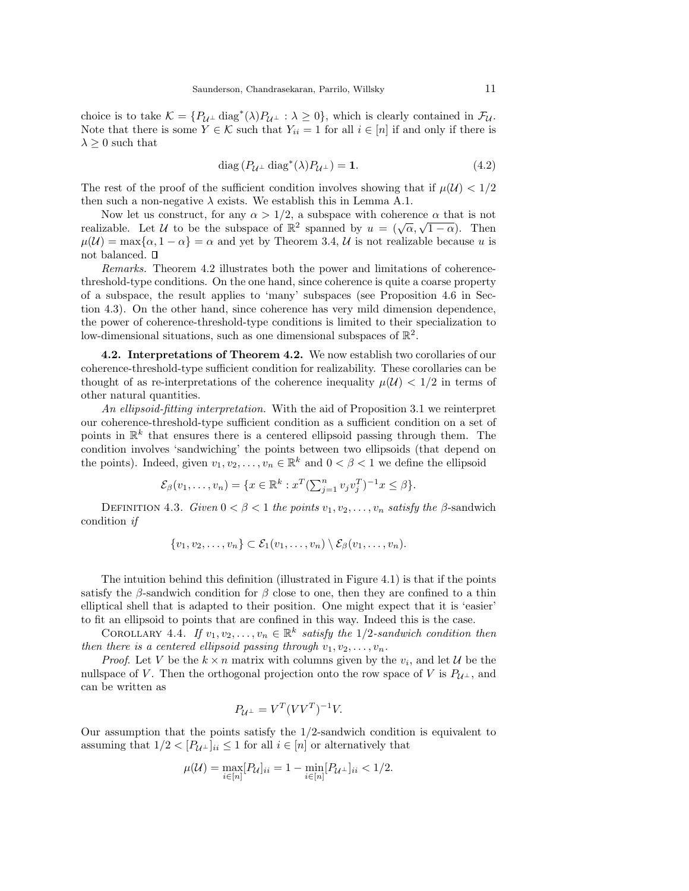choice is to take  $\mathcal{K} = \{P_{\mathcal{U}^\perp} \text{ diag}^*(\lambda)P_{\mathcal{U}^\perp} : \lambda \geq 0\}$ , which is clearly contained in  $\mathcal{F}_{\mathcal{U}}$ . Note that there is some  $Y \in \mathcal{K}$  such that  $Y_{ii} = 1$  for all  $i \in [n]$  if and only if there is  $\lambda \geq 0$  such that

$$
diag(P_{\mathcal{U}^{\perp}} diag^*(\lambda)P_{\mathcal{U}^{\perp}}) = 1.
$$
\n(4.2)

The rest of the proof of the sufficient condition involves showing that if  $\mu(\mathcal{U}) < 1/2$ then such a non-negative  $\lambda$  exists. We establish this in Lemma A.1.

Now let us construct, for any  $\alpha > 1/2$ , a subspace with coherence  $\alpha$  that is not realizable. Let U to be the subspace of  $\mathbb{R}^2$  spanned by  $u = (\sqrt{\alpha}, \sqrt{1-\alpha})$ . Then  $\mu(\mathcal{U}) = \max\{\alpha, 1 - \alpha\} = \alpha$  and yet by Theorem 3.4, U is not realizable because u is not balanced.

Remarks. Theorem 4.2 illustrates both the power and limitations of coherencethreshold-type conditions. On the one hand, since coherence is quite a coarse property of a subspace, the result applies to 'many' subspaces (see Proposition 4.6 in Section 4.3). On the other hand, since coherence has very mild dimension dependence, the power of coherence-threshold-type conditions is limited to their specialization to low-dimensional situations, such as one dimensional subspaces of  $\mathbb{R}^2$ .

4.2. Interpretations of Theorem 4.2. We now establish two corollaries of our coherence-threshold-type sufficient condition for realizability. These corollaries can be thought of as re-interpretations of the coherence inequality  $\mu(\mathcal{U}) < 1/2$  in terms of other natural quantities.

An ellipsoid-fitting interpretation. With the aid of Proposition 3.1 we reinterpret our coherence-threshold-type sufficient condition as a sufficient condition on a set of points in  $\mathbb{R}^k$  that ensures there is a centered ellipsoid passing through them. The condition involves 'sandwiching' the points between two ellipsoids (that depend on the points). Indeed, given  $v_1, v_2, \ldots, v_n \in \mathbb{R}^k$  and  $0 < \beta < 1$  we define the ellipsoid

$$
\mathcal{E}_{\beta}(v_1, \dots, v_n) = \{ x \in \mathbb{R}^k : x^T (\sum_{j=1}^n v_j v_j^T)^{-1} x \le \beta \}.
$$

DEFINITION 4.3. Given  $0 < \beta < 1$  the points  $v_1, v_2, \ldots, v_n$  satisfy the  $\beta$ -sandwich condition if

$$
\{v_1,v_2,\ldots,v_n\}\subset \mathcal{E}_1(v_1,\ldots,v_n)\setminus \mathcal{E}_\beta(v_1,\ldots,v_n).
$$

The intuition behind this definition (illustrated in Figure 4.1) is that if the points satisfy the  $\beta$ -sandwich condition for  $\beta$  close to one, then they are confined to a thin elliptical shell that is adapted to their position. One might expect that it is 'easier' to fit an ellipsoid to points that are confined in this way. Indeed this is the case.

COROLLARY 4.4. If  $v_1, v_2, \ldots, v_n \in \mathbb{R}^k$  satisfy the 1/2-sandwich condition then then there is a centered ellipsoid passing through  $v_1, v_2, \ldots, v_n$ .

*Proof.* Let V be the  $k \times n$  matrix with columns given by the  $v_i$ , and let U be the nullspace of V. Then the orthogonal projection onto the row space of V is  $P_{U^{\perp}}$ , and can be written as

$$
P_{\mathcal{U}^{\perp}} = V^T (VV^T)^{-1} V.
$$

Our assumption that the points satisfy the 1/2-sandwich condition is equivalent to assuming that  $1/2 < [P_{\mathcal{U}^{\perp}}]_{ii} \leq 1$  for all  $i \in [n]$  or alternatively that

$$
\mu(\mathcal{U}) = \max_{i \in [n]} [P_{\mathcal{U}}]_{ii} = 1 - \min_{i \in [n]} [P_{\mathcal{U}^{\perp}}]_{ii} < 1/2.
$$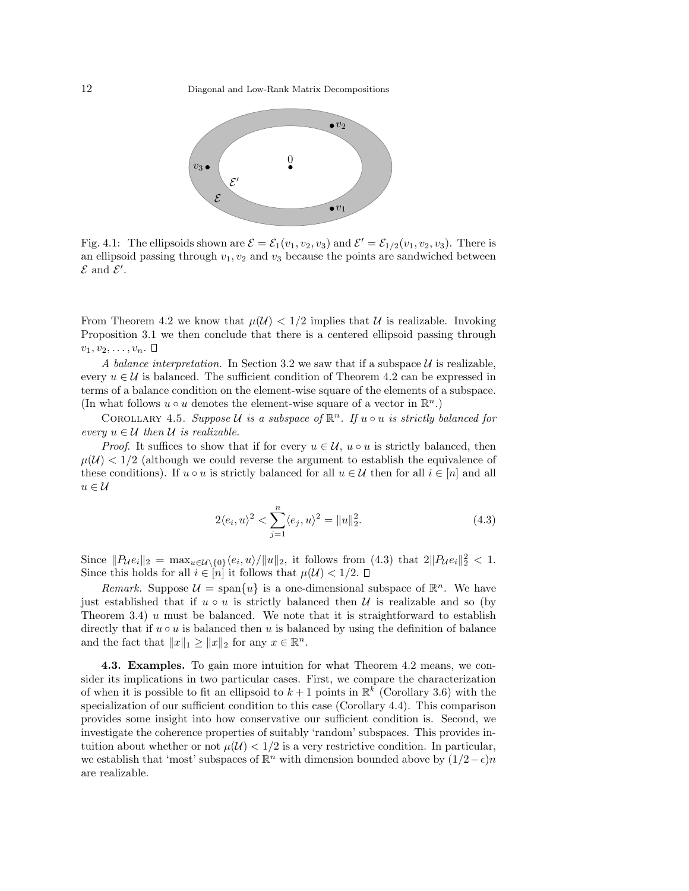

Fig. 4.1: The ellipsoids shown are  $\mathcal{E} = \mathcal{E}_1(v_1, v_2, v_3)$  and  $\mathcal{E}' = \mathcal{E}_{1/2}(v_1, v_2, v_3)$ . There is an ellipsoid passing through  $v_1, v_2$  and  $v_3$  because the points are sandwiched between  $\mathcal E$  and  $\mathcal E'$ .

From Theorem 4.2 we know that  $\mu(\mathcal{U}) < 1/2$  implies that U is realizable. Invoking Proposition 3.1 we then conclude that there is a centered ellipsoid passing through  $v_1, v_2, \ldots, v_n$ .  $\Box$ 

A balance interpretation. In Section 3.2 we saw that if a subspace  $U$  is realizable, every  $u \in \mathcal{U}$  is balanced. The sufficient condition of Theorem 4.2 can be expressed in terms of a balance condition on the element-wise square of the elements of a subspace. (In what follows  $u \circ u$  denotes the element-wise square of a vector in  $\mathbb{R}^n$ .)

COROLLARY 4.5. Suppose U is a subspace of  $\mathbb{R}^n$ . If  $u \circ u$  is strictly balanced for every  $u \in \mathcal{U}$  then  $\mathcal{U}$  is realizable.

*Proof.* It suffices to show that if for every  $u \in \mathcal{U}$ ,  $u \circ u$  is strictly balanced, then  $\mu(\mathcal{U}) < 1/2$  (although we could reverse the argument to establish the equivalence of these conditions). If  $u \circ u$  is strictly balanced for all  $u \in \mathcal{U}$  then for all  $i \in [n]$  and all  $u \in \mathcal{U}$ 

$$
2\langle e_i, u \rangle^2 < \sum_{j=1}^n \langle e_j, u \rangle^2 = ||u||_2^2. \tag{4.3}
$$

Since  $||P_{\mathcal{U}}e_i||_2 = \max_{u \in \mathcal{U} \setminus \{0\}} \langle e_i, u \rangle / ||u||_2$ , it follows from (4.3) that  $2||P_{\mathcal{U}}e_i||_2^2 < 1$ . Since this holds for all  $i \in [n]$  it follows that  $\mu(\mathcal{U}) < 1/2$ .

Remark. Suppose  $\mathcal{U} = \text{span}\{u\}$  is a one-dimensional subspace of  $\mathbb{R}^n$ . We have just established that if  $u \circ u$  is strictly balanced then U is realizable and so (by Theorem 3.4)  $u$  must be balanced. We note that it is straightforward to establish directly that if  $u \circ u$  is balanced then u is balanced by using the definition of balance and the fact that  $||x||_1 \ge ||x||_2$  for any  $x \in \mathbb{R}^n$ .

4.3. Examples. To gain more intuition for what Theorem 4.2 means, we consider its implications in two particular cases. First, we compare the characterization of when it is possible to fit an ellipsoid to  $k+1$  points in  $\mathbb{R}^k$  (Corollary 3.6) with the specialization of our sufficient condition to this case (Corollary 4.4). This comparison provides some insight into how conservative our sufficient condition is. Second, we investigate the coherence properties of suitably 'random' subspaces. This provides intuition about whether or not  $\mu(\mathcal{U}) < 1/2$  is a very restrictive condition. In particular, we establish that 'most' subspaces of  $\mathbb{R}^n$  with dimension bounded above by  $(1/2-\epsilon)n$ are realizable.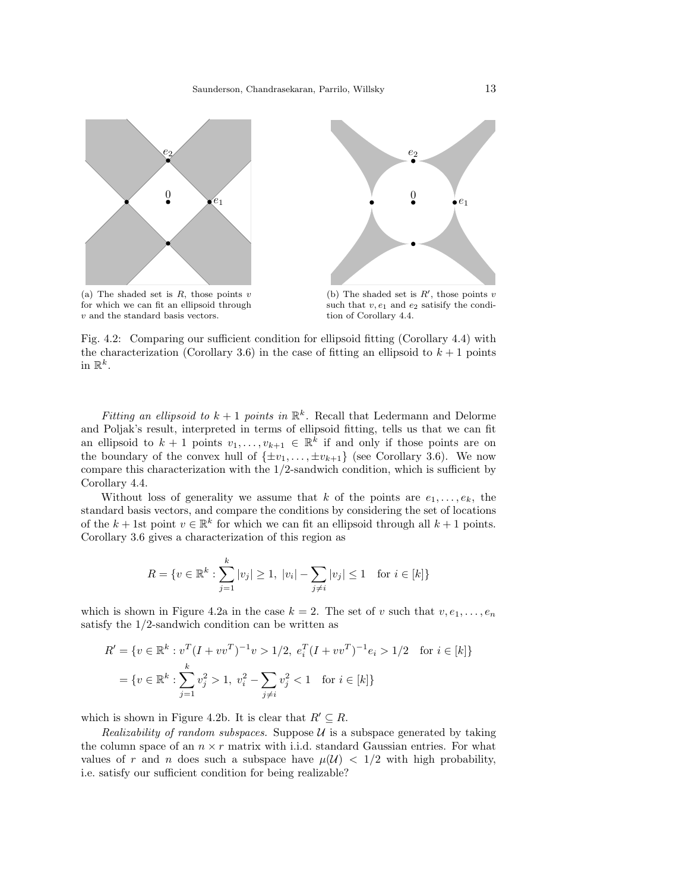



(a) The shaded set is  $R$ , those points  $v$ for which we can fit an ellipsoid through v and the standard basis vectors.

(b) The shaded set is  $R'$ , those points v such that  $v, e_1$  and  $e_2$  satisify the condition of Corollary 4.4.

Fig. 4.2: Comparing our sufficient condition for ellipsoid fitting (Corollary 4.4) with the characterization (Corollary 3.6) in the case of fitting an ellipsoid to  $k + 1$  points in  $\mathbb{R}^k$ .

Fitting an ellipsoid to  $k+1$  points in  $\mathbb{R}^k$ . Recall that Ledermann and Delorme and Poljak's result, interpreted in terms of ellipsoid fitting, tells us that we can fit an ellipsoid to  $k+1$  points  $v_1, \ldots, v_{k+1} \in \mathbb{R}^k$  if and only if those points are on the boundary of the convex hull of  $\{\pm v_1, \ldots, \pm v_{k+1}\}$  (see Corollary 3.6). We now compare this characterization with the 1/2-sandwich condition, which is sufficient by Corollary 4.4.

Without loss of generality we assume that k of the points are  $e_1, \ldots, e_k$ , the standard basis vectors, and compare the conditions by considering the set of locations of the  $k + 1$ st point  $v \in \mathbb{R}^k$  for which we can fit an ellipsoid through all  $k + 1$  points. Corollary 3.6 gives a characterization of this region as

$$
R = \{ v \in \mathbb{R}^k : \sum_{j=1}^k |v_j| \ge 1, \ |v_i| - \sum_{j \ne i} |v_j| \le 1 \text{ for } i \in [k] \}
$$

which is shown in Figure 4.2a in the case  $k = 2$ . The set of v such that  $v, e_1, \ldots, e_n$ satisfy the 1/2-sandwich condition can be written as

$$
R' = \{ v \in \mathbb{R}^k : v^T (I + v v^T)^{-1} v > 1/2, e_i^T (I + v v^T)^{-1} e_i > 1/2 \text{ for } i \in [k] \}
$$
  
=  $\{ v \in \mathbb{R}^k : \sum_{j=1}^k v_j^2 > 1, v_i^2 - \sum_{j \neq i} v_j^2 < 1 \text{ for } i \in [k] \}$ 

which is shown in Figure 4.2b. It is clear that  $R' \subseteq R$ .

Realizability of random subspaces. Suppose  $\mathcal U$  is a subspace generated by taking the column space of an  $n \times r$  matrix with i.i.d. standard Gaussian entries. For what values of r and n does such a subspace have  $\mu(\mathcal{U}) < 1/2$  with high probability, i.e. satisfy our sufficient condition for being realizable?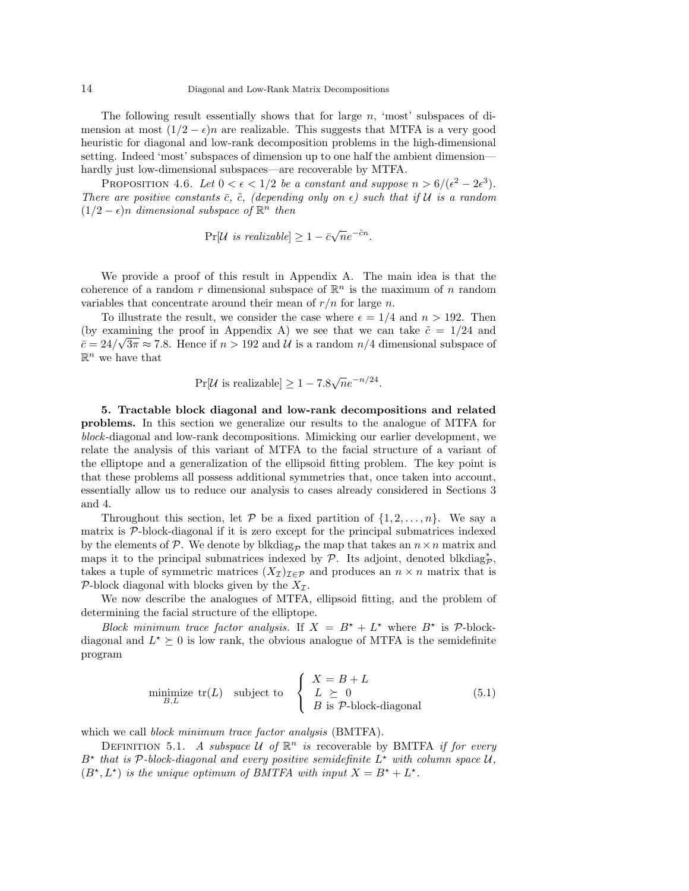The following result essentially shows that for large  $n$ , 'most' subspaces of dimension at most  $(1/2 - \epsilon)n$  are realizable. This suggests that MTFA is a very good heuristic for diagonal and low-rank decomposition problems in the high-dimensional setting. Indeed 'most' subspaces of dimension up to one half the ambient dimension hardly just low-dimensional subspaces—are recoverable by MTFA.

PROPOSITION 4.6. Let  $0 < \epsilon < 1/2$  be a constant and suppose  $n > 6/(\epsilon^2 - 2\epsilon^3)$ . There are positive constants  $\bar{c}$ ,  $\tilde{c}$ , (depending only on  $\epsilon$ ) such that if U is a random  $(1/2 - \epsilon)n$  dimensional subspace of  $\mathbb{R}^n$  then

$$
Pr[\mathcal{U} \text{ is realizable}] \ge 1 - \bar{c}\sqrt{n}e^{-\tilde{c}n}.
$$

We provide a proof of this result in Appendix A. The main idea is that the coherence of a random r dimensional subspace of  $\mathbb{R}^n$  is the maximum of n random variables that concentrate around their mean of  $r/n$  for large n.

To illustrate the result, we consider the case where  $\epsilon = 1/4$  and  $n > 192$ . Then (by examining the proof in Appendix A) we see that we can take  $\tilde{c} = 1/24$  and  $\bar{c} = 24/\sqrt{3\pi} \approx 7.8$ . Hence if  $n > 192$  and U is a random  $n/4$  dimensional subspace of  $\mathbb{R}^n$  we have that

$$
Pr[\mathcal{U} \text{ is realizable}] \ge 1 - 7.8\sqrt{n}e^{-n/24}.
$$

5. Tractable block diagonal and low-rank decompositions and related problems. In this section we generalize our results to the analogue of MTFA for block-diagonal and low-rank decompositions. Mimicking our earlier development, we relate the analysis of this variant of MTFA to the facial structure of a variant of the elliptope and a generalization of the ellipsoid fitting problem. The key point is that these problems all possess additional symmetries that, once taken into account, essentially allow us to reduce our analysis to cases already considered in Sections 3 and 4.

Throughout this section, let  $P$  be a fixed partition of  $\{1, 2, \ldots, n\}$ . We say a matrix is P-block-diagonal if it is zero except for the principal submatrices indexed by the elements of  $P$ . We denote by blkdiag<sub>p</sub> the map that takes an  $n \times n$  matrix and maps it to the principal submatrices indexed by  $\mathcal{P}$ . Its adjoint, denoted blkdiag<sub>p</sub><sup>\*</sup>, takes a tuple of symmetric matrices  $(X_{\mathcal{I}})_{\mathcal{I}\in\mathcal{P}}$  and produces an  $n\times n$  matrix that is P-block diagonal with blocks given by the  $X_{\mathcal{I}}$ .

We now describe the analogues of MTFA, ellipsoid fitting, and the problem of determining the facial structure of the elliptope.

Block minimum trace factor analysis. If  $X = B^* + L^*$  where  $B^*$  is P-blockdiagonal and  $L^* \succeq 0$  is low rank, the obvious analogue of MTFA is the semidefinite program

$$
\underset{B,L}{\text{minimize }} \text{tr}(L) \quad \text{subject to} \quad \begin{cases} X = B + L \\ L \succeq 0 \\ B \text{ is } \mathcal{P}\text{-block-diagonal} \end{cases} \tag{5.1}
$$

which we call *block minimum trace factor analysis* (BMTFA).

DEFINITION 5.1. A subspace  $U$  of  $\mathbb{R}^n$  is recoverable by BMTFA if for every  $B^*$  that is P-block-diagonal and every positive semidefinite  $L^*$  with column space  $\mathcal{U}$ ,  $(B^*, L^*)$  is the unique optimum of BMTFA with input  $X = B^* + L^*$ .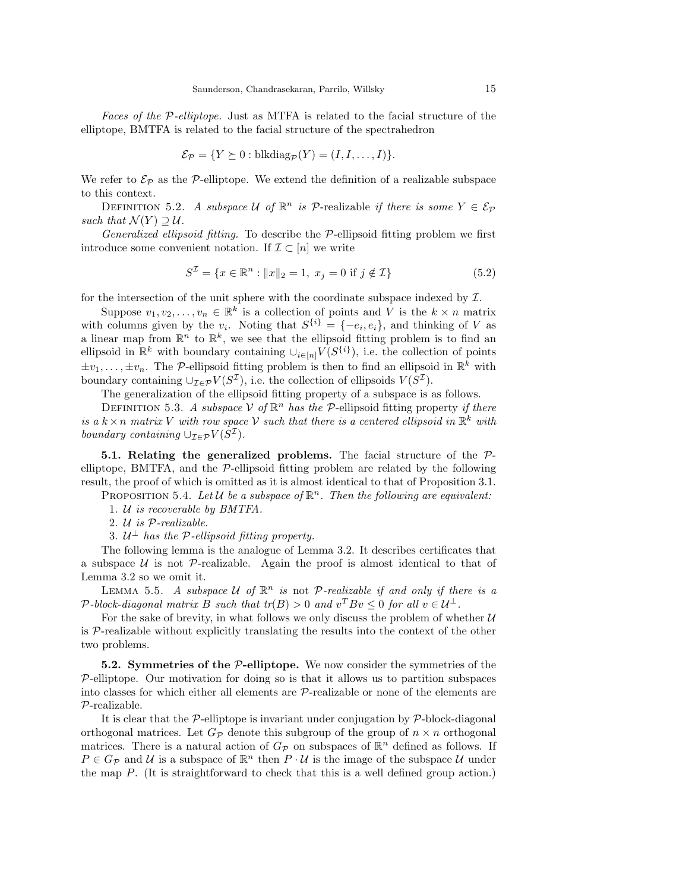Faces of the P-elliptope. Just as MTFA is related to the facial structure of the elliptope, BMTFA is related to the facial structure of the spectrahedron

$$
\mathcal{E}_{\mathcal{P}} = \{ Y \succeq 0 : \text{blkdiag}_{\mathcal{P}}(Y) = (I, I, \dots, I) \}.
$$

We refer to  $\mathcal{E}_{\mathcal{P}}$  as the P-elliptope. We extend the definition of a realizable subspace to this context.

DEFINITION 5.2. A subspace U of  $\mathbb{R}^n$  is P-realizable if there is some  $Y \in \mathcal{E}_{\mathcal{P}}$ such that  $\mathcal{N}(Y) \supseteq \mathcal{U}$ .

Generalized ellipsoid fitting. To describe the  $\mathcal{P}$ -ellipsoid fitting problem we first introduce some convenient notation. If  $\mathcal{I} \subset [n]$  we write

$$
S^{\mathcal{I}} = \{ x \in \mathbb{R}^n : ||x||_2 = 1, \ x_j = 0 \text{ if } j \notin \mathcal{I} \}
$$
 (5.2)

for the intersection of the unit sphere with the coordinate subspace indexed by  $\mathcal{I}$ .

Suppose  $v_1, v_2, \ldots, v_n \in \mathbb{R}^k$  is a collection of points and V is the  $k \times n$  matrix with columns given by the  $v_i$ . Noting that  $S^{\{i\}} = \{-e_i, e_i\}$ , and thinking of V as a linear map from  $\mathbb{R}^n$  to  $\mathbb{R}^k$ , we see that the ellipsoid fitting problem is to find an ellipsoid in  $\mathbb{R}^k$  with boundary containing  $\cup_{i\in[n]} V(S^{\{i\}})$ , i.e. the collection of points  $\pm v_1, \ldots, \pm v_n$ . The P-ellipsoid fitting problem is then to find an ellipsoid in  $\mathbb{R}^k$  with boundary containing  $\cup_{\mathcal{I}\in\mathcal{P}}V(S^{\mathcal{I}})$ , i.e. the collection of ellipsoids  $V(S^{\mathcal{I}})$ .

The generalization of the ellipsoid fitting property of a subspace is as follows.

DEFINITION 5.3. A subspace  $V$  of  $\mathbb{R}^n$  has the P-ellipsoid fitting property if there is a  $k \times n$  matrix V with row space V such that there is a centered ellipsoid in  $\mathbb{R}^k$  with boundary containing  $\cup_{\mathcal{I}\in\mathcal{P}}V(S^{\mathcal{I}})$ .

5.1. Relating the generalized problems. The facial structure of the Pelliptope, BMTFA, and the P-ellipsoid fitting problem are related by the following result, the proof of which is omitted as it is almost identical to that of Proposition 3.1.

PROPOSITION 5.4. Let  $\mathcal U$  be a subspace of  $\mathbb R^n$ . Then the following are equivalent:

- 1. U is recoverable by BMTFA.
- 2. U is P-realizable.
- 3.  $U^{\perp}$  has the P-ellipsoid fitting property.

The following lemma is the analogue of Lemma 3.2. It describes certificates that a subspace  $U$  is not  $\mathcal{P}$ -realizable. Again the proof is almost identical to that of Lemma 3.2 so we omit it.

LEMMA 5.5. A subspace U of  $\mathbb{R}^n$  is not P-realizable if and only if there is a P-block-diagonal matrix B such that  $tr(B) > 0$  and  $v^T B v \leq 0$  for all  $v \in \mathcal{U}^{\perp}$ .

For the sake of brevity, in what follows we only discuss the problem of whether  $U$ is  $P$ -realizable without explicitly translating the results into the context of the other two problems.

**5.2.** Symmetries of the  $P$ -elliptope. We now consider the symmetries of the  $P$ -elliptope. Our motivation for doing so is that it allows us to partition subspaces into classes for which either all elements are P-realizable or none of the elements are P-realizable.

It is clear that the  $\mathcal{P}-$ elliptope is invariant under conjugation by  $\mathcal{P}-$ block-diagonal orthogonal matrices. Let  $G_P$  denote this subgroup of the group of  $n \times n$  orthogonal matrices. There is a natural action of  $G_{\mathcal{P}}$  on subspaces of  $\mathbb{R}^n$  defined as follows. If  $P \in G_{\mathcal{P}}$  and  $\mathcal{U}$  is a subspace of  $\mathbb{R}^n$  then  $P \cdot \mathcal{U}$  is the image of the subspace  $\mathcal{U}$  under the map  $P$ . (It is straightforward to check that this is a well defined group action.)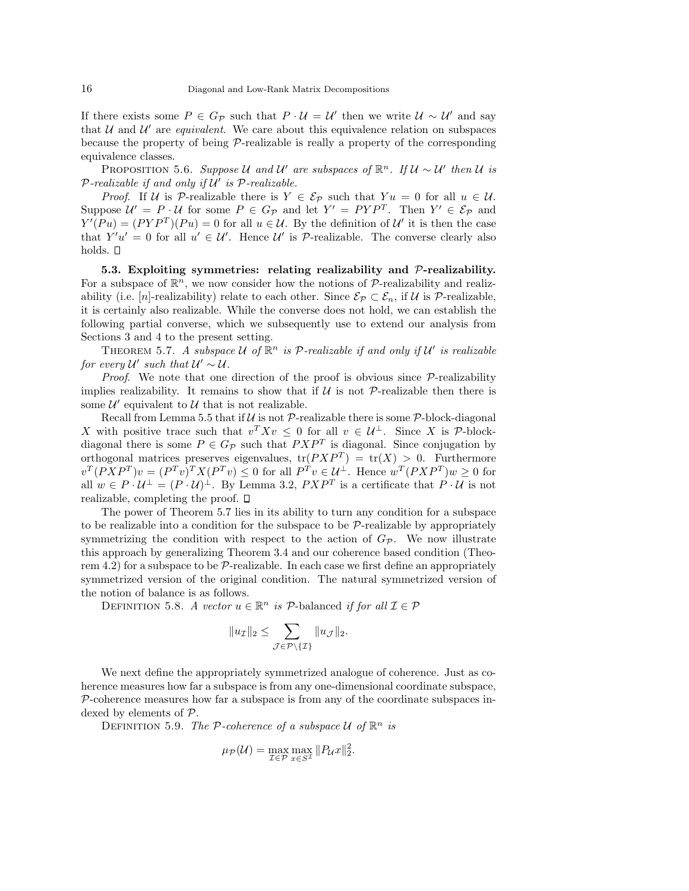If there exists some  $P \in G_{\mathcal{P}}$  such that  $P \cdot \mathcal{U} = \mathcal{U}'$  then we write  $\mathcal{U} \sim \mathcal{U}'$  and say that  $U$  and  $U'$  are *equivalent*. We care about this equivalence relation on subspaces because the property of being P-realizable is really a property of the corresponding equivalence classes.

PROPOSITION 5.6. Suppose U and U' are subspaces of  $\mathbb{R}^n$ . If  $U \sim U'$  then U is  $P$ -realizable if and only if  $\mathcal{U}'$  is  $\mathcal{P}$ -realizable.

*Proof.* If U is P-realizable there is  $Y \in \mathcal{E}_{\mathcal{P}}$  such that  $Yu = 0$  for all  $u \in \mathcal{U}$ . Suppose  $\mathcal{U}' = P \cdot \mathcal{U}$  for some  $P \in G_{\mathcal{P}}$  and let  $Y' = PYP^T$ . Then  $Y' \in \mathcal{E}_{\mathcal{P}}$  and  $Y'(Pu) = (PYP^{T})(Pu) = 0$  for all  $u \in \mathcal{U}$ . By the definition of  $\mathcal{U}'$  it is then the case that  $Y'u' = 0$  for all  $u' \in \mathcal{U}'$ . Hence  $\mathcal{U}'$  is P-realizable. The converse clearly also holds.  $\square$ 

5.3. Exploiting symmetries: relating realizability and  $\mathcal{P}$ -realizability. For a subspace of  $\mathbb{R}^n$ , we now consider how the notions of  $\mathcal{P}$ -realizability and realizability (i.e. [n]-realizability) relate to each other. Since  $\mathcal{E}_{\mathcal{P}} \subset \mathcal{E}_n$ , if U is P-realizable, it is certainly also realizable. While the converse does not hold, we can establish the following partial converse, which we subsequently use to extend our analysis from Sections 3 and 4 to the present setting.

THEOREM 5.7. A subspace U of  $\mathbb{R}^n$  is P-realizable if and only if U' is realizable for every  $\mathcal{U}'$  such that  $\mathcal{U}' \sim \mathcal{U}$ .

*Proof.* We note that one direction of the proof is obvious since  $P$ -realizability implies realizability. It remains to show that if  $\mathcal U$  is not  $\mathcal P$ -realizable then there is some  $\mathcal{U}'$  equivalent to  $\mathcal{U}$  that is not realizable.

Recall from Lemma 5.5 that if  $U$  is not P-realizable there is some P-block-diagonal X with positive trace such that  $v^T X v \leq 0$  for all  $v \in \mathcal{U}^{\perp}$ . Since X is P-blockdiagonal there is some  $P \in G_{\mathcal{P}}$  such that  $PXP^T$  is diagonal. Since conjugation by orthogonal matrices preserves eigenvalues,  $tr(PXP^{T}) = tr(X) > 0$ . Furthermore  $v^T(PXP^T)v = (P^Tv)^TX(P^Tv) \leq 0$  for all  $P^Tv \in \mathcal{U}^{\perp}$ . Hence  $w^T(PXP^T)w \geq 0$  for all  $w \in P \cdot \mathcal{U}^{\perp} = (P \cdot \mathcal{U})^{\perp}$ . By Lemma 3.2,  $P \times P^{T}$  is a certificate that  $P \cdot \mathcal{U}$  is not realizable, completing the proof.

The power of Theorem 5.7 lies in its ability to turn any condition for a subspace to be realizable into a condition for the subspace to be  $P$ -realizable by appropriately symmetrizing the condition with respect to the action of  $G_{\mathcal{P}}$ . We now illustrate this approach by generalizing Theorem 3.4 and our coherence based condition (Theorem 4.2) for a subspace to be  $P$ -realizable. In each case we first define an appropriately symmetrized version of the original condition. The natural symmetrized version of the notion of balance is as follows.

DEFINITION 5.8. A vector  $u \in \mathbb{R}^n$  is  $\mathcal{P}\text{-balanced if for all } \mathcal{I} \in \mathcal{P}$ 

$$
||u_{\mathcal{I}}||_2 \leq \sum_{\mathcal{J}\in\mathcal{P}\setminus\{\mathcal{I}\}} ||u_{\mathcal{J}}||_2.
$$

We next define the appropriately symmetrized analogue of coherence. Just as coherence measures how far a subspace is from any one-dimensional coordinate subspace,  $P$ -coherence measures how far a subspace is from any of the coordinate subspaces indexed by elements of P.

DEFINITION 5.9. The P-coherence of a subspace U of  $\mathbb{R}^n$  is

$$
\mu_{\mathcal{P}}(\mathcal{U}) = \max_{\mathcal{I} \in \mathcal{P}} \max_{x \in S^{\mathcal{I}}} \|P_{\mathcal{U}}x\|_2^2.
$$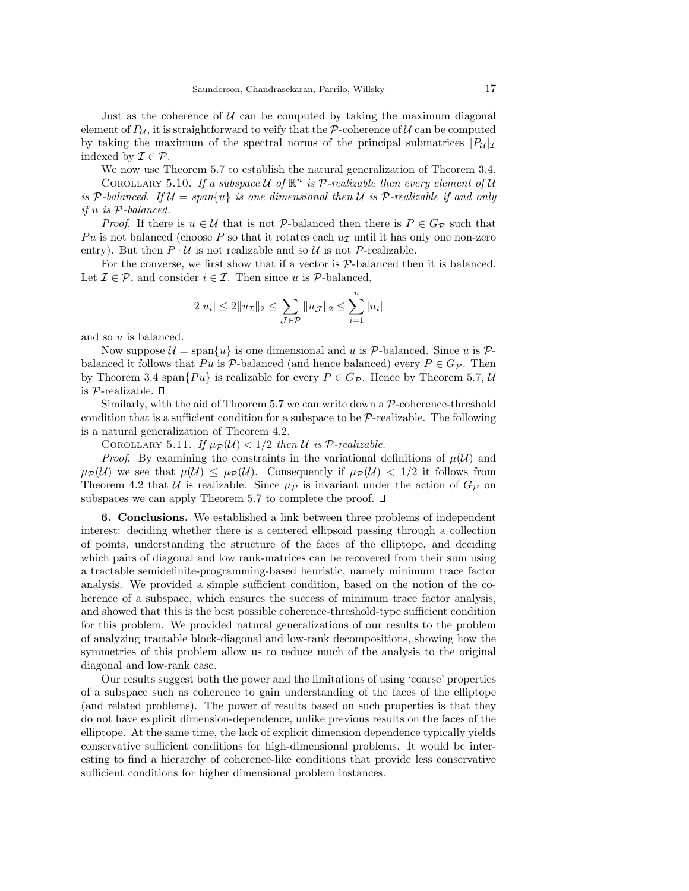Just as the coherence of  $U$  can be computed by taking the maximum diagonal element of  $P_{\mathcal{U}}$ , it is straightforward to veify that the P-coherence of  $\mathcal{U}$  can be computed by taking the maximum of the spectral norms of the principal submatrices  $[P_u]_I$ indexed by  $\mathcal{I} \in \mathcal{P}$ .

We now use Theorem 5.7 to establish the natural generalization of Theorem 3.4. COROLLARY 5.10. If a subspace  $U$  of  $\mathbb{R}^n$  is  $P$ -realizable then every element of  $U$ 

is P-balanced. If  $\mathcal{U} = span\{u\}$  is one dimensional then U is P-realizable if and only if u is P-balanced.

*Proof.* If there is  $u \in \mathcal{U}$  that is not P-balanced then there is  $P \in G_{\mathcal{P}}$  such that Pu is not balanced (choose P so that it rotates each  $u<sub>\tau</sub>$  until it has only one non-zero entry). But then  $P \cdot U$  is not realizable and so U is not  $P$ -realizable.

For the converse, we first show that if a vector is P-balanced then it is balanced. Let  $\mathcal{I} \in \mathcal{P}$ , and consider  $i \in \mathcal{I}$ . Then since u is  $\mathcal{P}$ -balanced,

$$
2|u_i| \le 2||u_{\mathcal{I}}||_2 \le \sum_{\mathcal{J} \in \mathcal{P}} ||u_{\mathcal{J}}||_2 \le \sum_{i=1}^n |u_i|
$$

and so u is balanced.

Now suppose  $\mathcal{U} = \text{span}\{u\}$  is one dimensional and u is  $\mathcal{P}$ -balanced. Since u is  $\mathcal{P}$ balanced it follows that Pu is P-balanced (and hence balanced) every  $P \in G_{\mathcal{P}}$ . Then by Theorem 3.4 span $\{Pu\}$  is realizable for every  $P \in G_{\mathcal{P}}$ . Hence by Theorem 5.7, U is  $P$ -realizable.  $\square$ 

Similarly, with the aid of Theorem 5.7 we can write down a P-coherence-threshold condition that is a sufficient condition for a subspace to be  $P$ -realizable. The following is a natural generalization of Theorem 4.2.

COROLLARY 5.11. If  $\mu_{\mathcal{P}}(\mathcal{U}) < 1/2$  then U is P-realizable.

*Proof.* By examining the constraints in the variational definitions of  $\mu(\mathcal{U})$  and  $\mu_{\mathcal{P}}(\mathcal{U})$  we see that  $\mu(\mathcal{U}) \leq \mu_{\mathcal{P}}(\mathcal{U})$ . Consequently if  $\mu_{\mathcal{P}}(\mathcal{U}) < 1/2$  it follows from Theorem 4.2 that U is realizable. Since  $\mu_{\mathcal{P}}$  is invariant under the action of  $G_{\mathcal{P}}$  on subspaces we can apply Theorem 5.7 to complete the proof.  $\square$ 

6. Conclusions. We established a link between three problems of independent interest: deciding whether there is a centered ellipsoid passing through a collection of points, understanding the structure of the faces of the elliptope, and deciding which pairs of diagonal and low rank-matrices can be recovered from their sum using a tractable semidefinite-programming-based heuristic, namely minimum trace factor analysis. We provided a simple sufficient condition, based on the notion of the coherence of a subspace, which ensures the success of minimum trace factor analysis, and showed that this is the best possible coherence-threshold-type sufficient condition for this problem. We provided natural generalizations of our results to the problem of analyzing tractable block-diagonal and low-rank decompositions, showing how the symmetries of this problem allow us to reduce much of the analysis to the original diagonal and low-rank case.

Our results suggest both the power and the limitations of using 'coarse' properties of a subspace such as coherence to gain understanding of the faces of the elliptope (and related problems). The power of results based on such properties is that they do not have explicit dimension-dependence, unlike previous results on the faces of the elliptope. At the same time, the lack of explicit dimension dependence typically yields conservative sufficient conditions for high-dimensional problems. It would be interesting to find a hierarchy of coherence-like conditions that provide less conservative sufficient conditions for higher dimensional problem instances.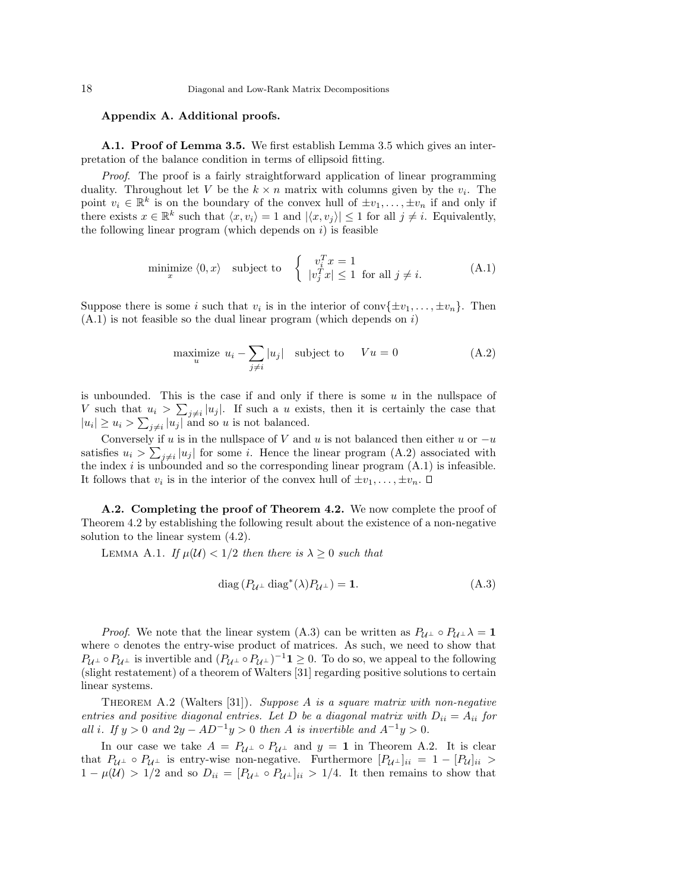## Appendix A. Additional proofs.

A.1. Proof of Lemma 3.5. We first establish Lemma 3.5 which gives an interpretation of the balance condition in terms of ellipsoid fitting.

Proof. The proof is a fairly straightforward application of linear programming duality. Throughout let V be the  $k \times n$  matrix with columns given by the  $v_i$ . The point  $v_i \in \mathbb{R}^k$  is on the boundary of the convex hull of  $\pm v_1, \ldots, \pm v_n$  if and only if there exists  $x \in \mathbb{R}^k$  such that  $\langle x, v_i \rangle = 1$  and  $|\langle x, v_j \rangle| \leq 1$  for all  $j \neq i$ . Equivalently, the following linear program (which depends on  $i$ ) is feasible

$$
\underset{x}{\text{minimize}} \langle 0, x \rangle \quad \text{subject to} \quad \left\{ \begin{array}{l} v_i^T x = 1 \\ |v_j^T x| \le 1 \quad \text{for all } j \ne i. \end{array} \right. \tag{A.1}
$$

Suppose there is some *i* such that  $v_i$  is in the interior of conv $\{\pm v_1, \ldots, \pm v_n\}$ . Then  $(A.1)$  is not feasible so the dual linear program (which depends on i)

maximize 
$$
u_i - \sum_{j \neq i} |u_j|
$$
 subject to  $Vu = 0$  (A.2)

is unbounded. This is the case if and only if there is some  $u$  in the nullspace of V such that  $u_i > \sum_{j \neq i} |u_j|$ . If such a u exists, then it is certainly the case that  $|u_i| \ge u_i > \sum_{j \neq i} |u_j|$  and so u is not balanced.

Conversely if u is in the nullspace of V and u is not balanced then either u or  $-u$ satisfies  $u_i > \sum_{j \neq i} |u_j|$  for some i. Hence the linear program  $(A.2)$  associated with the index  $i$  is unbounded and so the corresponding linear program  $(A.1)$  is infeasible. It follows that  $v_i$  is in the interior of the convex hull of  $\pm v_1, \ldots, \pm v_n$ .

A.2. Completing the proof of Theorem 4.2. We now complete the proof of Theorem 4.2 by establishing the following result about the existence of a non-negative solution to the linear system (4.2).

LEMMA A.1. If  $\mu(\mathcal{U}) < 1/2$  then there is  $\lambda \geq 0$  such that

$$
diag(P_{\mathcal{U}^{\perp}} diag^*(\lambda)P_{\mathcal{U}^{\perp}}) = 1.
$$
\n(A.3)

*Proof.* We note that the linear system (A.3) can be written as  $P_{\mathcal{U}^{\perp}} \circ P_{\mathcal{U}^{\perp}} \lambda = 1$ where ∘ denotes the entry-wise product of matrices. As such, we need to show that  $P_{\mathcal{U}^{\perp}} \circ P_{\mathcal{U}^{\perp}}$  is invertible and  $(P_{\mathcal{U}^{\perp}} \circ P_{\mathcal{U}^{\perp}})^{-1} \mathbf{1} \geq 0$ . To do so, we appeal to the following (slight restatement) of a theorem of Walters [31] regarding positive solutions to certain linear systems.

THEOREM A.2 (Walters [31]). Suppose A is a square matrix with non-negative entries and positive diagonal entries. Let D be a diagonal matrix with  $D_{ii} = A_{ii}$  for all i. If  $y > 0$  and  $2y - AD^{-1}y > 0$  then A is invertible and  $A^{-1}y > 0$ .

In our case we take  $A = P_{\mathcal{U}^{\perp}} \circ P_{\mathcal{U}^{\perp}}$  and  $y = 1$  in Theorem A.2. It is clear that  $P_{\mathcal{U}^{\perp}} \circ P_{\mathcal{U}^{\perp}}$  is entry-wise non-negative. Furthermore  $[P_{\mathcal{U}^{\perp}}]_{ii} = 1 - [P_{\mathcal{U}}]_{ii} >$  $1 - \mu(\mathcal{U}) > 1/2$  and so  $D_{ii} = [P_{\mathcal{U}^{\perp}} \circ P_{\mathcal{U}^{\perp}}]_{ii} > 1/4$ . It then remains to show that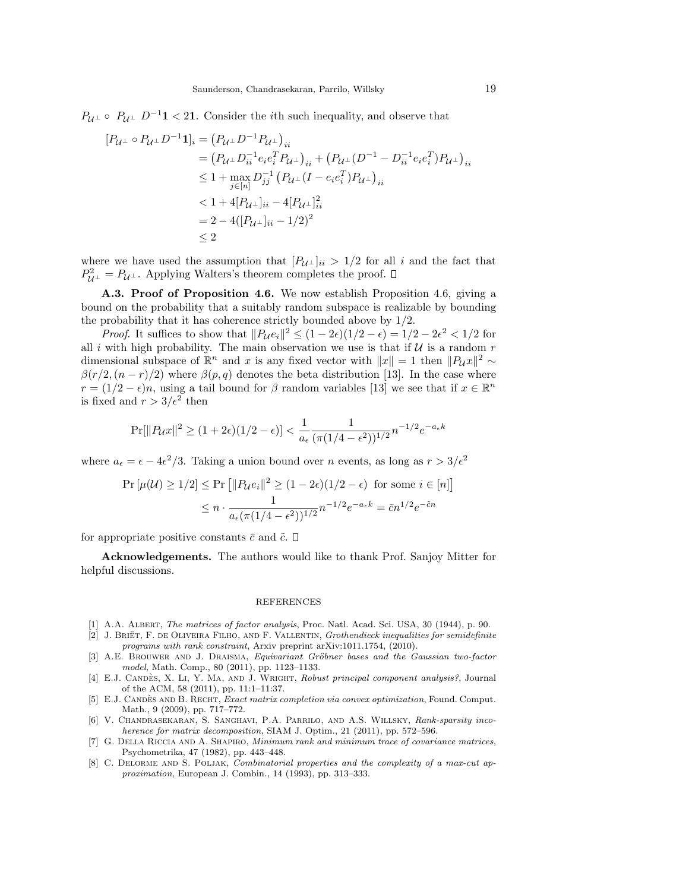$P_{\mathcal{U}^{\perp}} \circ P_{\mathcal{U}^{\perp}} D^{-1} \mathbf{1} < 2\mathbf{1}$ . Consider the *i*th such inequality, and observe that

$$
[P_{\mathcal{U}^{\perp}} \circ P_{\mathcal{U}^{\perp}} D^{-1} \mathbf{1}]_i = (P_{\mathcal{U}^{\perp}} D^{-1} P_{\mathcal{U}^{\perp}})_{ii}
$$
  
\n
$$
= (P_{\mathcal{U}^{\perp}} D_{ii}^{-1} e_i e_i^T P_{\mathcal{U}^{\perp}})_{ii} + (P_{\mathcal{U}^{\perp}} (D^{-1} - D_{ii}^{-1} e_i e_i^T) P_{\mathcal{U}^{\perp}})_{ii}
$$
  
\n
$$
\leq 1 + \max_{j \in [n]} D_{jj}^{-1} (P_{\mathcal{U}^{\perp}} (I - e_i e_i^T) P_{\mathcal{U}^{\perp}})_{ii}
$$
  
\n
$$
< 1 + 4[P_{\mathcal{U}^{\perp}}]_{ii} - 4[P_{\mathcal{U}^{\perp}}]_{ii}^2
$$
  
\n
$$
= 2 - 4([P_{\mathcal{U}^{\perp}}]_{ii} - 1/2)^2
$$
  
\n
$$
\leq 2
$$

where we have used the assumption that  $[P_{U^{\perp}}]_{ii} > 1/2$  for all i and the fact that  $P_{\mathcal{U}^{\perp}}^2 = P_{\mathcal{U}^{\perp}}$ . Applying Walters's theorem completes the proof.

A.3. Proof of Proposition 4.6. We now establish Proposition 4.6, giving a bound on the probability that a suitably random subspace is realizable by bounding the probability that it has coherence strictly bounded above by 1/2.

*Proof.* It suffices to show that  $||P_{\mathcal{U}}e_i||^2 \leq (1 - 2\epsilon)(1/2 - \epsilon) = 1/2 - 2\epsilon^2 < 1/2$  for all i with high probability. The main observation we use is that if  $U$  is a random r dimensional subspace of  $\mathbb{R}^n$  and x is any fixed vector with  $||x|| = 1$  then  $||P_{\mathcal{U}}x||^2 \sim$  $\beta(r/2,(n-r)/2)$  where  $\beta(p,q)$  denotes the beta distribution [13]. In the case where  $r = (1/2 - \epsilon)n$ , using a tail bound for  $\beta$  random variables [13] we see that if  $x \in \mathbb{R}^n$ is fixed and  $r > 3/\epsilon^2$  then

$$
\Pr[||P_{\mathcal{U}}x||^2 \ge (1+2\epsilon)(1/2-\epsilon)] < \frac{1}{a_{\epsilon}} \frac{1}{(\pi(1/4-\epsilon^2))^{1/2}} n^{-1/2} e^{-a_{\epsilon}k}
$$

where  $a_{\epsilon} = \epsilon - 4\epsilon^2/3$ . Taking a union bound over *n* events, as long as  $r > 3/\epsilon^2$ 

$$
\Pr\left[\mu(\mathcal{U}) \ge 1/2\right] \le \Pr\left[\|P_{\mathcal{U}}e_i\|^2 \ge (1 - 2\epsilon)(1/2 - \epsilon) \text{ for some } i \in [n]\right]
$$

$$
\le n \cdot \frac{1}{a_{\epsilon}(\pi(1/4 - \epsilon^2))^{1/2}} n^{-1/2} e^{-a_{\epsilon}k} = \bar{c}n^{1/2} e^{-\bar{c}n}
$$

for appropriate positive constants  $\bar{c}$  and  $\tilde{c}$ .  $\Box$ 

Acknowledgements. The authors would like to thank Prof. Sanjoy Mitter for helpful discussions.

#### REFERENCES

- [1] A.A. ALBERT, The matrices of factor analysis, Proc. Natl. Acad. Sci. USA, 30 (1944), p. 90.
- [2] J. BRIET, F. DE OLIVEIRA FILHO, AND F. VALLENTIN, Grothendieck inequalities for semidefinite programs with rank constraint, Arxiv preprint arXiv:1011.1754, (2010).
- [3] A.E. BROUWER AND J. DRAISMA, Equivariant Gröbner bases and the Gaussian two-factor model, Math. Comp., 80 (2011), pp. 1123–1133.
- [4] E.J. CANDÈS, X. LI, Y. MA, AND J. WRIGHT, Robust principal component analysis?, Journal of the ACM, 58 (2011), pp. 11:1–11:37.
- [5] E.J. CANDÈS AND B. RECHT, Exact matrix completion via convex optimization, Found. Comput. Math., 9 (2009), pp. 717–772.
- [6] V. Chandrasekaran, S. Sanghavi, P.A. Parrilo, and A.S. Willsky, Rank-sparsity incoherence for matrix decomposition, SIAM J. Optim., 21 (2011), pp. 572-596.
- [7] G. Della Riccia and A. Shapiro, Minimum rank and minimum trace of covariance matrices, Psychometrika, 47 (1982), pp. 443–448.
- [8] C. DELORME AND S. POLJAK, Combinatorial properties and the complexity of a max-cut approximation, European J. Combin., 14 (1993), pp. 313–333.